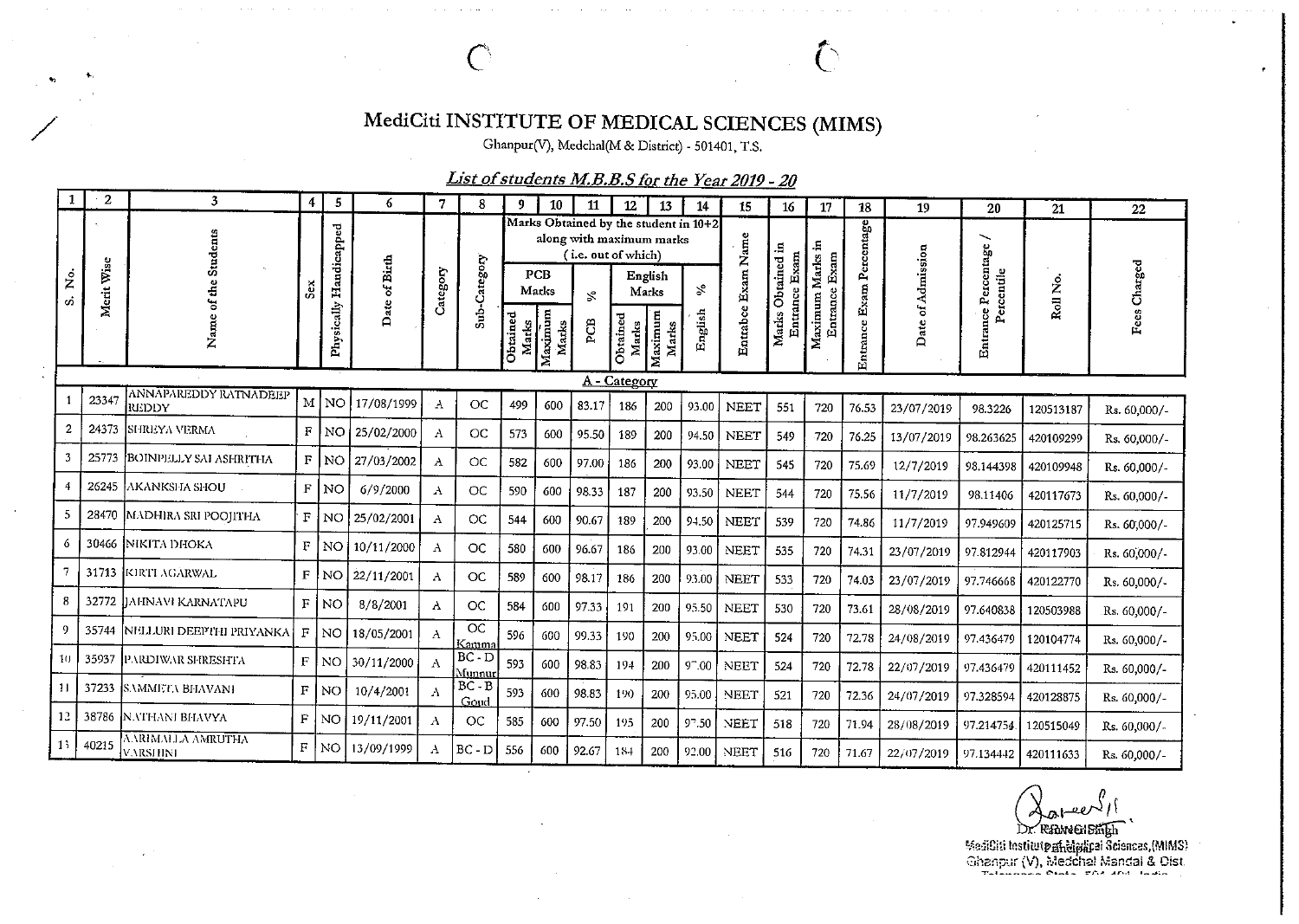## MediCiti INSTITUTE OF MEDICAL SCIENCES (MIMS)

Ghanpur(V), Medchal(M & District) - 501401, T.S.

 $\overline{\mathbb{C}}$ 

## List of students M.B.B.S for the Year 2019 - 20

|         | $\mathbf{2}$               | 3                                     | 4            | 5           | 6             | 7            | 8                        | q                 | 10               | 11                                              | 12                | 13               | 14                                    | 15          | 16                | 17                           | 18         | 19           | 20                   | 21        | 22           |
|---------|----------------------------|---------------------------------------|--------------|-------------|---------------|--------------|--------------------------|-------------------|------------------|-------------------------------------------------|-------------------|------------------|---------------------------------------|-------------|-------------------|------------------------------|------------|--------------|----------------------|-----------|--------------|
|         |                            | Students                              |              | Handicapped |               |              |                          |                   |                  | along with maximum marks<br>(i.e. out of which) |                   |                  | Marks Obtained by the student in 10+2 | Exam Name   | .⊟<br>Exam        | Exam                         | ercentage  |              | ╰<br>$_{\rm age}$    |           |              |
| ż<br>တံ | Wise<br>Merit <sup>1</sup> | de.                                   | á            |             | Date of Birth | Category     | Sub-Category             |                   | PCB<br>Marks     | $\mathbb{R}$                                    |                   | English<br>Marks | $\mathcal{S}$                         |             | Obtained<br>rance |                              | 2<br>Exam  | of Admission | Percent<br>ercentile | Roll No.  | Fees Charged |
|         |                            | z                                     |              | Physically  |               |              |                          | Obtained<br>Marks | Maximum<br>Marks | PCB                                             | Obtained<br>Marks | Maximum<br>Marks | English                               | Entrabce    | Marks<br>Enti     | Maximum Marks in<br>Entrance | rance<br>區 | ≏            | Entrance<br>ρ.       |           |              |
|         |                            |                                       |              |             |               |              |                          |                   |                  |                                                 | A - Category      |                  |                                       |             |                   |                              |            |              |                      |           |              |
|         | 23347                      | ANNAPAREDDY RATNADEEP<br><b>REDDY</b> |              | M NO        | 17/08/1999    | A            | OC                       | 499               | 600              | 83.17                                           | 186               | 200              | 93.00                                 | <b>NEET</b> | 551               | 720                          | 76.53      | 23/07/2019   | 98.3226              | 120513187 | Rs. 60,000/- |
| 2       | 24373                      | <b>SHREYA VERMA</b>                   |              | F NO        | 25/02/2000    | A            | OC                       | 573               | 600              | 95.50                                           | 189               | 200              | 94.50                                 | <b>NEET</b> | 549               | 720                          | 76.25      | 13/07/2019   | 98.263625            | 420109299 | Rs. 60,000/- |
|         | 25773                      | <b>BOINPELLY SAI ASHRITHA</b>         |              | F NO        | 27/03/2002    | A            | OC                       | 582               | 600              | 97.00                                           | 186               | 200              | 93.00                                 | NEET        | 545               | 720                          | 75.69      | 12/7/2019    | 98.144398            | 420109948 | Rs. 60,000/- |
| 4       | 26245                      | <b>AKANKSHA SHOU</b>                  | F            | NO          | 6/9/2000      | $\Lambda$    | <b>OC</b>                | 590               | 600              | 98.33                                           | 187               | 200              | 93.50                                 | <b>NEET</b> | 544               | 720                          | 75.56      | 11/7/2019    | 98.11406             | 420117673 | Rs. 60,000/- |
| 5       |                            | 28470   ΜΑΣΗΙRA SRI POOJITHA          | $\mathbf F$  | <b>NO</b>   | 25/02/2001    | A            | <b>OC</b>                | 544               | 600              | 90.67                                           | 189               | 200              | $9 + 50$                              | <b>NEET</b> | 539               | 720                          | 74.86      | 11/7/2019    | 97.949609            | 420125715 | Rs. 60,000/- |
| 6       |                            | 30466 NIKITA DHOKA                    | F            | <b>NO</b>   | 10/11/2000    | Α            | OC                       | 580               | 600              | 96.67                                           | 186               | 200              | 93.00                                 | <b>NEET</b> | 535               | 720                          | 74.31      | 23/07/2019   | 97.812944            | 420117903 | Rs. 60,000/- |
|         |                            | 31713 KIRTI AGARWAL                   |              | F NO        | 22/11/2001    | A            | <b>OC</b>                | 589               | 600              | 98.17                                           | 186               | 200              | 93.00                                 | NEET        | 533               | 720                          | 74.03      | 23/07/2019   | 97.746668            | 420122770 | Rs. 60,000/- |
| -8      | 32772                      | <b>JIAHNAVI KARNATAPU</b>             | F            | I NO.       | 8/8/2001      | A            | <b>OC</b>                | 584               | 600              | 97.33                                           | 191               | 200              | 95.50                                 | <b>NEET</b> | 530               | 720                          | 73.61      | 28/08/2019   | 97.640838            | 120503988 | Rs. 60,000/- |
| -9      | 35744                      | NELLURI DEEPTHI PRIYANKA              | F            | <b>NO</b>   | 18/05/2001    | $\mathbf{A}$ | $\overline{OC}$<br>Kamma | 596               | 600              | 99.33                                           | 190               | 200              | 95.00                                 | <b>NEET</b> | 524               | 720                          | 72.78      | 24/08/2019   | 97 43 64 79          | 120104774 | Rs. 60,000/- |
| 10      |                            | 35937 PARDIWAR SHRESHTA               | $\mathbf{F}$ | l no        | 30/11/2000    | $\Lambda$    | $BC - D$<br>Munnur       | 593               | 600              | 98.83                                           | 194               | 200              | $9 - 00$                              | <b>NEET</b> | 524               | 720                          | 72.78      | 22/07/2019   | 97.436479            | 420111452 | Rs. 60,000/- |
| -11     | 37233                      | <b>ISAMMETA BHAVANI</b>               | $\mathbf F$  | l NO        | 10/4/2001     | $\Lambda$    | $BC - B$<br>Goud         | 593               | 600              | 98.83                                           | 190               | 200              | 95.00                                 | <b>NEET</b> | 521               | 720                          | 72.36      | 24/07/2019   | 97.328594            | 420128875 | Rs. 60,000/- |
| 12      | 38786                      | N.VI'HANI BHAVYA                      | F            | NO          | 19/11/2001    | $\mathbf{A}$ | OC                       | 585               | 600              | 97.50                                           | 195               | 200              | 97.50                                 | <b>NEET</b> | 518               | 720                          | 71.94      | 28/08/2019   | 97.214754.           | 120515049 | Rs. 60,000/- |
| 13      | 40215                      | VARIMALLA AMRUTHA<br><b>VARSHINI</b>  | $\rm F$      | NO.         | 13/09/1999    | $\Lambda$    | $BC - D$                 | 556               | 600              | 92.67                                           | 184               | 200              | 92.00                                 | <b>NEET</b> | 516               | 720                          | 71.67      | 22/07/2019   | 97.134442            | 420111633 | Rs. 60,000/- |

Dr. Ramenismen<br>Madiciti Institute and Marian Sciences, (MIMS)<br>Ghanpur (V), Medchal Mandal & Dist.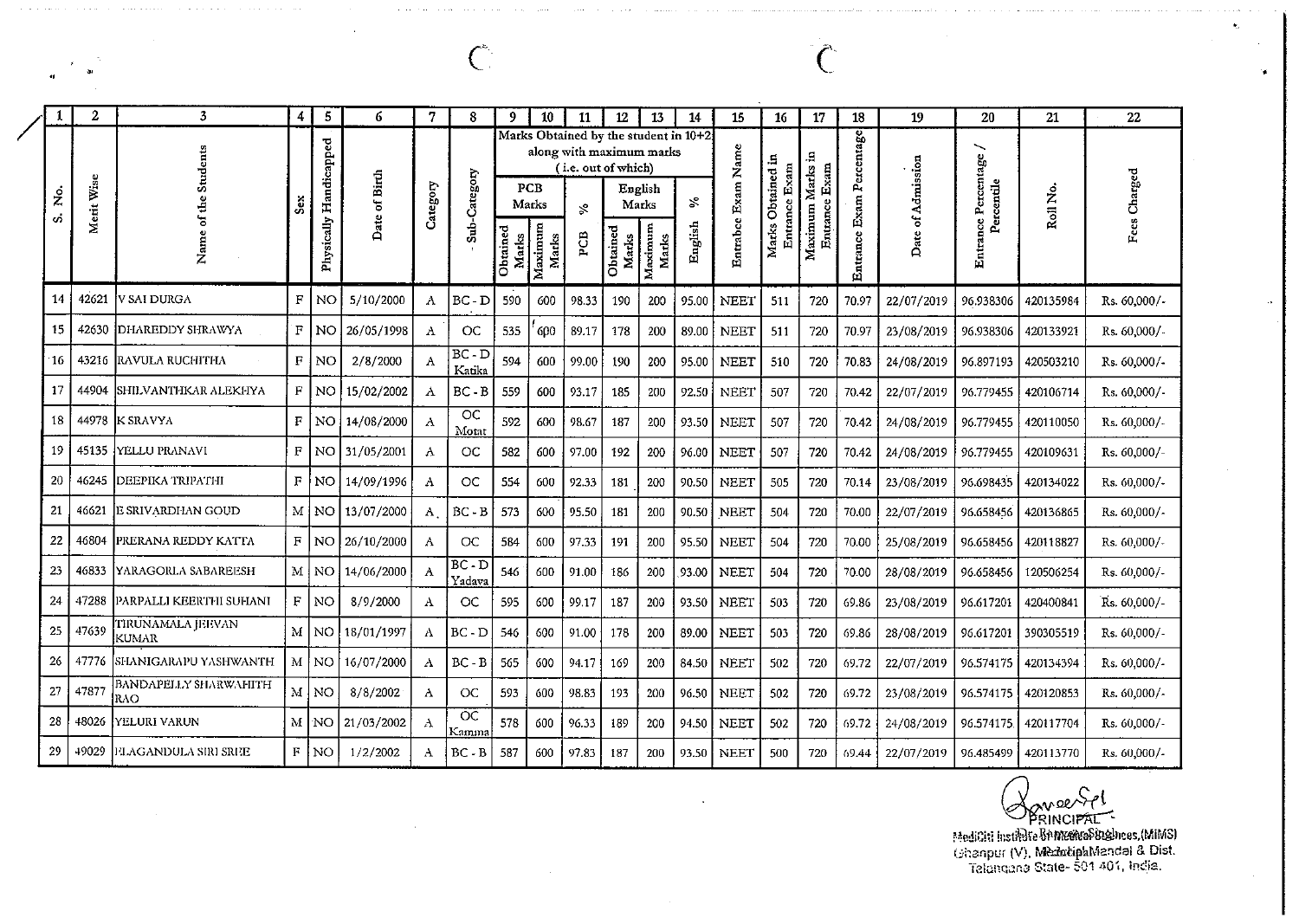| 1  | $\boldsymbol{2}$ | 3                                   | 4              | 5                      | 6             | 7            | 8                  | 9                 | 10               | 11                                                                                       | 12                | 13               | 14      | 15          | 16                           | 17               | 18                       | 19                | 20                  | 21        | 22           |
|----|------------------|-------------------------------------|----------------|------------------------|---------------|--------------|--------------------|-------------------|------------------|------------------------------------------------------------------------------------------|-------------------|------------------|---------|-------------|------------------------------|------------------|--------------------------|-------------------|---------------------|-----------|--------------|
|    |                  | Students                            |                |                        |               |              |                    |                   |                  | Marks Obtained by the student in 10+2<br>along with maximum marks<br>(i.e. out of which) |                   |                  |         | Name        |                              |                  |                          |                   | ∽                   |           |              |
| ż. | Merit Wise       | $\frac{1}{2}$                       | š              |                        | Date of Birth | Category     | Sub-Category       |                   | PCB<br>Marks     | $\mathcal{S}$                                                                            |                   | English<br>Marks | %       | Exam        | Obtained in<br>Entrance Exam | Entrance Exam    |                          |                   | Percentile          | Roll No.  | Fees Charged |
| Ő, |                  | $\rm 5$<br>Nam                      |                | Physically Handicapped |               |              |                    | Obtained<br>Marks | Maximum<br>Marks | PCB                                                                                      | Obtained<br>Marks | Maximum<br>Marks | English | Entrabce    | Marks                        | Maximum Marks in | Entrance Exam Percentage | Date of Admission | Entrance Percentage |           |              |
| 14 | 42621            | V SAI DURGA                         | F              | NO.                    | 5/10/2000     | A            | $BC - D$           | 590               | 600              | 98.33                                                                                    | 190               | 200              | 95.00   | <b>NEET</b> | 511                          | 720              | 70.97                    | 22/07/2019        | 96.938306           | 420135984 | Rs. 60,000/- |
| 15 | 42630            | <b>DHAREDDY SHRAWYA</b>             | F              | NO.                    | 26/05/1998    | A            | OC                 | 535               | 600              | 89.17                                                                                    | 178               | 200              | 89.00   | <b>NEET</b> | 511                          | 720              | 70.97                    | 23/08/2019        | 96.938306           | 420133921 | Rs. 60,000/- |
| 16 | 43216            | <b>RAVULA RUCHITHA</b>              | $\mathbf F$    | NO                     | 2/8/2000      | A            | $BC - D$<br>Katika | 594               | 600              | 99.00                                                                                    | 190               | 200              | 95.00   | <b>NEET</b> | 510                          | 720              | 70.83                    | 24/08/2019        | 96.897193           | 420503210 | Rs. 60,000/- |
| 17 | 44904            | SHILVANTHKAR ALEKHYA                | F              | NO.                    | 15/02/2002    | Λ            | $BC - B$           | 559               | 600              | 93.17                                                                                    | 185               | 200              | 92.50   | <b>NEET</b> | 507                          | 720              | 70.42                    | 22/07/2019        | 96.779455           | 420106714 | Rs. 60,000/- |
| 18 | 44978            | <b>K SRAVYA</b>                     | $\mathbf{F}$   | NO <sub>1</sub>        | 14/08/2000    | Α            | OC<br>Motat        | 592               | 600              | 98.67                                                                                    | 187               | 200              | 93.50   | <b>NEET</b> | 507                          | 720              | 70.42                    | 24/08/2019        | 96.779455           | 420110050 | Rs. 60,000/- |
| 19 | 45135            | IYELLU PRANAVI                      | F              |                        | NO 31/05/2001 | A            | OC                 | 582               | 600              | 97.00                                                                                    | 192               | 200              | 96.00   | <b>NEET</b> | 507                          | 720              | 70.42                    | 24/08/2019        | 96.779455           | 420109631 | Rs. 60,000/- |
| 20 | 46245            | DEEPIKA TRIPATHI                    | F <sub>1</sub> | NO.                    | 14/09/1996    | A            | OC                 | 554               | 600              | 92.33                                                                                    | 181               | 200              | 90.50   | <b>NEET</b> | 505                          | 720              | 70.14                    | 23/08/2019        | 96.698435           | 420134022 | Rs. 60,000/- |
| 21 | 46621            | E SRIVARDHAN GOUD                   |                | M NO                   | 13/07/2000    | $\mathbf{A}$ | $BC - B$           | 573               | 600              | 95.50                                                                                    | 181               | 200              | 90.50   | <b>NEET</b> | 504                          | 720              | 70.00                    | 22/07/2019        | 96.658456           | 420136865 | Rs. 60,000/- |
| 22 | 46804            | PRERANA REDDY KATTA                 |                | F INOI                 | 26/10/2000    | A            | OC                 | 584               | 600              | 97.33                                                                                    | 191               | 200              | 95.50   | <b>NEET</b> | 504                          | 720              | 70.00                    | 25/08/2019        | 96.658456           | 420118827 | Rs. 60,000/- |
| 23 | 46833            | YARAGORLA SABAREESH                 |                | $M$ NO                 | 14/06/2000    | A            | $BC - D$<br>Yadava | 546               | 600              | 91.00                                                                                    | 186               | 200              | 93.00   | <b>NEET</b> | 504                          | 720              | 70.00                    | 28/08/2019        | 96.658456           | 120506254 | Rs. 60,000/- |
| 24 |                  | 47288  PARPALLI KEERTHI SUHANI      | F              | l no                   | 8/9/2000      | Α            | OC                 | 595               | 600              | 99.17                                                                                    | 187               | 200              | 93.50   | <b>NEET</b> | 503                          | 720              | 69.86                    | 23/08/2019        | 96.617201           | 420400841 | Rs. 60,000/- |
| 25 | 47639            | TIRUNAMALA JEEVAN<br><b>KUMAR</b>   |                | M NO                   | 18/01/1997    | Α            | $BC - D$           | 546               | 600              | 91.00                                                                                    | 178               | 200              | 89.00   | <b>NEET</b> | 503                          | 720              | 69.86                    | 28/08/2019        | 96.617201           | 390305519 | Rs. 60,000/- |
| 26 | 47776            | SHANIGARAPU YASHWANTH               |                | M   NO                 | 16/07/2000    | Α            | $BC - B$           | 565               | 600              | 94.17                                                                                    | 169               | 200              | 84.50   | <b>NEET</b> | 502                          | 720              | 69.72                    | 22/07/2019        | 96.574175           | 420134394 | Rs. 60,000/- |
| 27 | 47877            | <b>BANDAPELLY SHARWAHITH</b><br>RAO |                | M NO                   | 8/8/2002      | A            | OC                 | 593               | 600              | 98.83                                                                                    | 193               | 200              | 96.50   | <b>NEET</b> | 502                          | 720              | 69.72                    | 23/08/2019        | 96.574175           | 420120853 | Rs. 60,000/- |
| 28 | 48026            | YELURI VARUN                        |                | M NO                   | 21/03/2002    | A            | OC<br>Kamma        | 578               | 600              | 96.33                                                                                    | 189               | 200              | 94.50   | <b>NEET</b> | 502                          | 720              | 69.72                    | 24/08/2019        | 96.574175.          | 420117704 | Rs. 60,000/- |
| 29 | 49029            | FLAGANDULA SIRI SREE                | $\mathbf{F}$   | 'NO                    | 1/2/2002      | Α            | $BC - B$           | 587               | 600              | 97.83                                                                                    | 187               | 200              | 93.50   | <b>NEET</b> | 500                          | 720              | 69.44                    | 22/07/2019        | 96.485499           | 420113770 | Rs. 60,000/- |

 $\overline{C}$ 

 $\bigotimes_{\text{PRINCIPAL}} \bigotimes_{\text{PRINCIPAL}} \{ \bigotimes_{\text{PRINCIPAL}} \{ \text{MilM3} \} } \bigotimes_{\text{Chanpur (V), MedactipahMandal 8. Dist.} } \{ \bigotimes_{\text{Chanour (V), MedactipahMandal 8. Dist.} } \{ \bigotimes_{\text{Chancan 3}} \text{State-501 401, inclia.} }$ 

 $\int_{0}^{\infty}$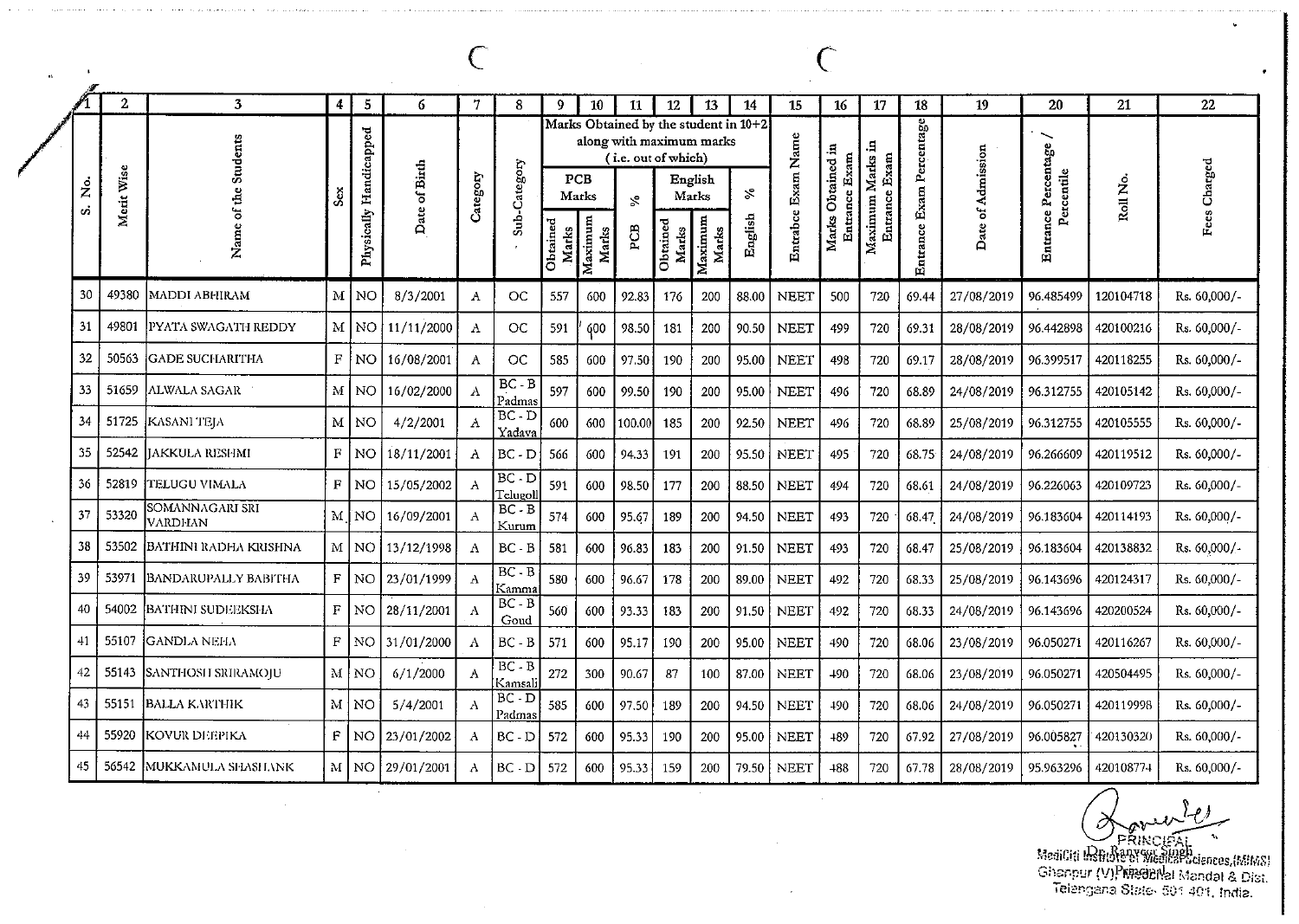|          | $\mathbf{2}$ | 3                                   | 4                  | 5               | 6             | 7                | 8                    | 9                 | 10                  | 11                                                                                             | 12                | 13               | 14            | 15           | 16                  | 17                                | 18              | 19                | 20                                            | 21        | 22           |
|----------|--------------|-------------------------------------|--------------------|-----------------|---------------|------------------|----------------------|-------------------|---------------------|------------------------------------------------------------------------------------------------|-------------------|------------------|---------------|--------------|---------------------|-----------------------------------|-----------------|-------------------|-----------------------------------------------|-----------|--------------|
| ż<br>oi. | Merit Wise   | <b>Students</b><br>of the           |                    | Handicapped     | Date of Birth | Category         | Sub-Category         |                   | <b>PCB</b><br>Marks | Marks Obtained by the student in 10+2<br>along with maximum marks<br>(i.e. out of which)<br>S. |                   | English<br>Marks | $\mathcal{S}$ | Name<br>Exam | Obtained in<br>Exam | Maximum Marks in<br>Entrance Exam | Exam Percentage | Date of Admission | ∼<br><b>Entrance Percentage</b><br>Percentile | Roll No.  | Fees Charged |
|          |              | Nam                                 |                    | Physically      |               |                  |                      | Obtained<br>Marks | Maximum<br>Marks    | PСB                                                                                            | Obtained<br>Marks | Maximum<br>Marks | English       | Entrabce     | Entrance<br>Marks   |                                   | Entrance        |                   |                                               |           |              |
| 30       | 49380        | MADDI ABHIRAM                       | М                  | NO              | 8/3/2001      | $\Lambda$        | OC                   | 557               | 600                 | 92.83                                                                                          | 176               | 200              | 88.00         | <b>NEET</b>  | 500                 | 720                               | 69.44           | 27/08/2019        | 96.485499                                     | 120104718 | Rs. 60,000/- |
| 31       | 49801        | PYATA SWAGATH REDDY                 | M                  | <b>NO</b>       | 11/11/2000    | $\Lambda$        | <b>OC</b>            | 591               | <b>600</b>          | 98.50                                                                                          | 181               | 200              | 90.50         | <b>NEET</b>  | 499                 | 720                               | 69.31           | 28/08/2019        | 96.442898                                     | 420100216 | Rs. 60,000/- |
| 32       | 50563        | <b>GADE SUCHARITHA</b>              | $\rm F$            | NO              | 16/08/2001    | $\boldsymbol{A}$ | $_{\rm CC}$          | 585               | 600                 | 97.50                                                                                          | 190               | 200              | 95.00         | <b>NEET</b>  | 498                 | 720                               | 69.17           | 28/08/2019        | 96.399517                                     | 420118255 | Rs. 60,000/- |
| 33       | 51659        | ALWALA SAGAR                        | M                  | <b>NO</b>       | 16/02/2000    | A                | $BC - B$<br>Padmas   | 597               | 600                 | 99.50                                                                                          | 190               | 200              | 95.00         | <b>NEET</b>  | 496                 | 720                               | 68.89           | 24/08/2019        | 96.312755                                     | 420105142 | Rs. 60,000/- |
| 34       | 51725        | KASANI TEJA                         | $\mathbf M$        | <b>NO</b>       | 4/2/2001      | Α                | $BC - D$<br>Yadava   | 600               | 600                 | 100.00                                                                                         | 185               | 200              | 92.50         | <b>NEET</b>  | 496                 | 720                               | 68.89           | 25/08/2019        | 96.312755                                     | 420105555 | Rs. 60,000/- |
| 35       | 52542        | JAKKULA RESHMI                      | $\mathbf F$        | NO              | 18/11/2001    | A                | $BC - D$             | 566               | 600                 | 94.33                                                                                          | 191               | 200              | 95.50         | <b>NEET</b>  | 495                 | 720                               | 68.75           | 24/08/2019        | 96.266609                                     | 420119512 | Rs. 60,000/- |
| 36       | 52819        | TELUGU VIMALA                       | $\mathbf{F}$       | <b>NO</b>       | 15/05/2002    | $\mathbf{A}$     | $BC - D$<br>Telugoll | 591               | 600                 | 98.50                                                                                          | 177               | 200              | 88.50         | <b>NEET</b>  | 494                 | 720                               | 68.61           | 24/08/2019        | 96.226063                                     | 420109723 | Rs. 60,000/- |
| 37       | 53320        | SOMANNAGARI SRI<br><b>VARDI-LAN</b> | M                  | 'NΟ             | 16/09/2001    | Α                | $BC - B$<br>Kurum    | 574               | 600                 | 95.67                                                                                          | 139               | 200              | 94.50         | <b>NEET</b>  | 493                 | 720                               | 68.47           | 24/08/2019        | 96.183604                                     | 420114193 | Rs. 60,000/- |
| 38       | 53502        | BATHINI RADHA KRISHNA               | $\mathbf{M}% _{0}$ | NO <sub>1</sub> | 13/12/1998    | A                | $BC - B$             | 581               | 600                 | 96.83                                                                                          | 183               | 200              | 91.50         | <b>NEET</b>  | 493                 | 720                               | 68.47           | 25/08/2019        | 96.183604                                     | 420138832 | Rs. 60,000/- |
| 39       | 53971        | BANDARUPALLY BABITHA                | $\mathbf{F}$       | NO.             | 23/01/1999    | $\Delta$         | $BC - B$<br>Kamma    | 580               | 600                 | 96.67                                                                                          | 178               | 200              | 89.00         | <b>NEET</b>  | 492                 | 720                               | 68.33           | 25/08/2019        | 96.143696                                     | 42012431  | Rs. 60,000/- |
| 40       | 54002        | BATHINI SUDEEKSHA                   | $\mathbf F$        | NO.             | 28/11/2001    | A                | $BC - B$<br>Goud     | 560               | 600                 | 93.33                                                                                          | 183               | 200              | 91.50         | <b>NEET</b>  | 492                 | 720                               | 68.33           | 24/08/2019        | 96.143696                                     | 420200524 | Rs. 60,000/- |
| 41       | 55107        | <b> GANDLA NEHA</b>                 | $\mathbf F$        | NO              | 31/01/2000    | A                | $BC - B$             | 571               | 600                 | 95.17                                                                                          | 190               | 200              | 95.00         | <b>NEET</b>  | 400                 | 720                               | 68.06           | 23/08/2019        | 96.050271                                     | 420116267 | Rs. 60,000/- |
| 42       |              | 55143 SANTHOSH SRIRAMOJU            | $\mathbf{M}$       | NO.             | 6/1/2000      | A                | $BC - B$<br>Kamsali  | 272               | 300                 | 90.67                                                                                          | 87                | 100              | 87.00         | NEET         | 490                 | 720                               | 68.06           | 23/08/2019        | 96.050271                                     | 420504495 | Rs. 60,000/- |
| 43       | 55151        | <b>BALLA KARTHIK</b>                | $\mathbf{M}$       | NO.             | 5/4/2001      | A                | $BC - D$<br>Padmas   | 585               | 600                 | 97.50                                                                                          | 189               | 200              | 94.50         | <b>NEET</b>  | 490                 | 720                               | 68.06           | 24/08/2019        | 96.050271                                     | 420119998 | Rs. 60,000/- |
| 44       | 55920        | KOVUR DEEPIKA                       | $\mathbf{F}$       | NO.             | 23/01/2002    | A                | $BC - D$             | 572               | 600                 | 95.33                                                                                          | 190               | 200              | 95.00         | <b>NEET</b>  | 489                 | 720                               | 67.92           | 27/08/2019        | 96.005827                                     | 420130320 | Rs. 60,000/- |
| 45       | 56542        | MUKKAMULA SHASHANK                  | M                  | NO.             | 29/01/2001    | A                | BC D                 | 572               | 600                 | 95.33                                                                                          | 159               | 200              | 79.50         | <b>NEET</b>  | +88                 | 720                               | 67.78           | 28/08/2019        | 95.963296                                     | 420108774 | Rs. 60,000/- |

 $\overline{C}$ 

 $\Delta \phi$ 

MediCiti IRRINGUESI<br>MediCiti IRRINGUESI<br>Ghanpur (V)PRPedicies (Landal & Dist.<br>Telangana State- 501 401, India.

 $\mathsf{C}$ 

 $\sim$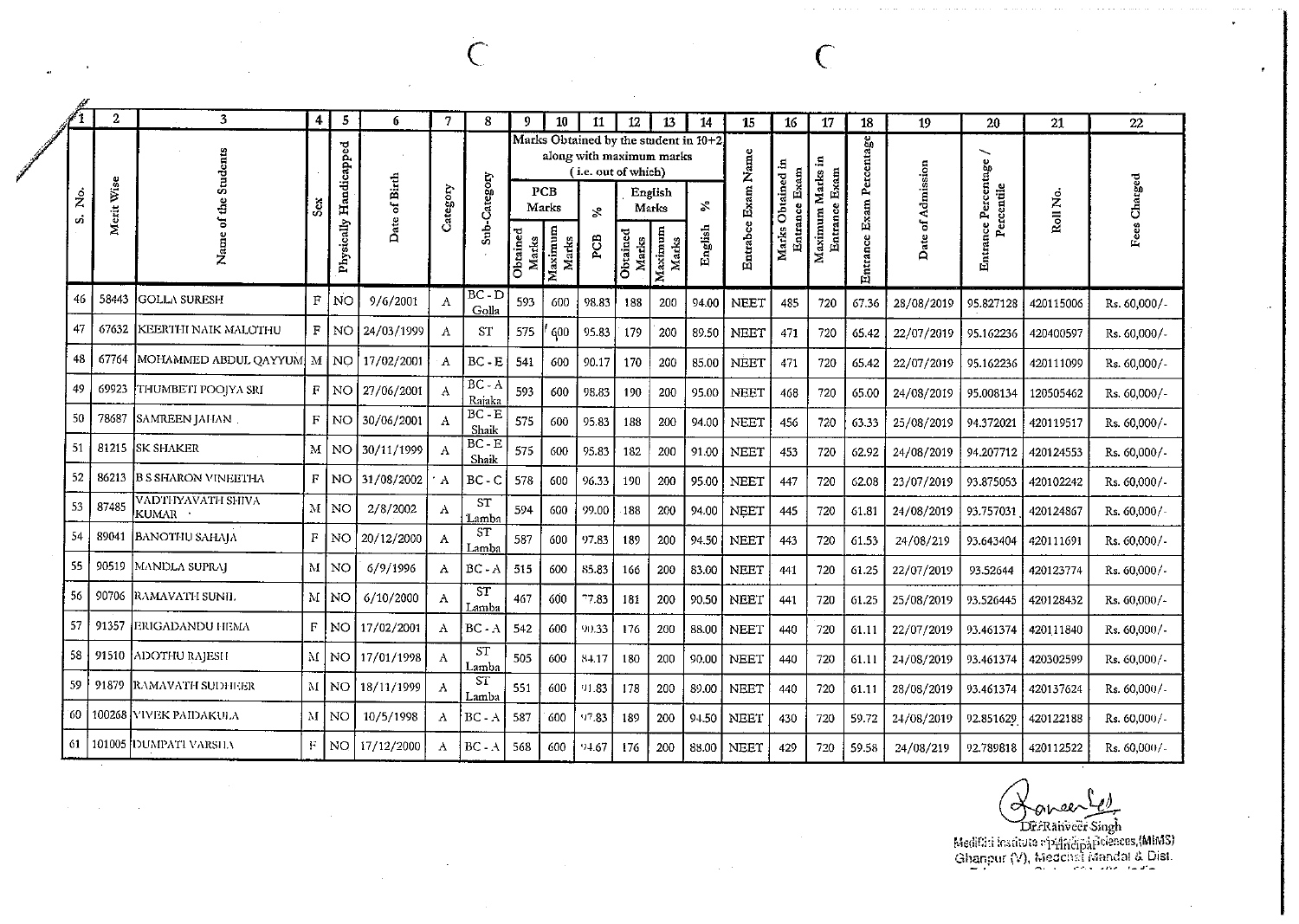|                 | $\mathbf{2}$               | 3                            | 4            | 5           | 6                     | 7            | 8                  | 9.                | 10               | 11                                                        | 12                | 13               | 14                                           | 15            | 16                   | 17                     | 18                 | 19                | 20                       | 21        | 22           |
|-----------------|----------------------------|------------------------------|--------------|-------------|-----------------------|--------------|--------------------|-------------------|------------------|-----------------------------------------------------------|-------------------|------------------|----------------------------------------------|---------------|----------------------|------------------------|--------------------|-------------------|--------------------------|-----------|--------------|
| $\dot{\hat{z}}$ | Wise<br>Merit <sup>1</sup> |                              | Ĵ,           | Handicapped | of Birth              | Category     | Sub-Category       |                   | PCB<br>Marks     | along with maximum marks<br>(i.e. out of which)<br>$\geq$ |                   | English<br>Marks | Marks Obtained by the student in 10+2.<br>వి | Name          | э,<br>tained<br>Exar | Entrance Exam<br>Marks | Percentage<br>Exam | Date of Admission | ╲<br>Percentage<br>utile | Roll No.  | Fees Charged |
| ú.              |                            | z                            |              | Physically  | Date                  |              |                    | Obtained<br>Marks | Maximum<br>Marks | PCB                                                       | Obtained<br>Marks | Maximum<br>Marks | English                                      | Entrabce Exam | Marks                | Maximum                | Entrance           |                   | nce<br>Entra             |           |              |
| 46              | 58443                      | <b>IGOLLA SURESH</b>         | $\mathbf{F}$ | <b>NO</b>   | 9/6/2001              | A            | BC - D<br>Golla    | 593               | 600              | 98.83                                                     | 188               | 200              | 94.00                                        | NEET          | 485                  | 720                    | 67.36              | 28/08/2019        | 95.827128                | 420115006 | Rs. 60,000/- |
| 47              | 67632                      | <b>KEERTHI NAIK MALOTHU</b>  |              |             | $F$ NO 24/03/1999     | A            | <b>ST</b>          | 575               | 600              | 95.83                                                     | 179               | 200              | 89.50                                        | <b>NEET</b>   | 471                  | 720                    | 65.42              | 22/07/2019        | 95.162236                | 420400597 | Rs. 60,000/- |
| 48              | 67764                      | MOHAMMED ABDUL QAYYUM M   NO |              |             | 17/02/2001            | A            | $BC - E$           | 541               | 600              | 90.17                                                     | 170               | 200              | 85.00                                        | NEET          | 471                  | 720                    | 65.42              | 22/07/2019        | 95.162236                | 420111099 | Rs. 60,000/- |
| 49              | 69923                      | THUMBETI POOJYA SRI          |              |             | $F$   NO   27/06/2001 | A            | $BC - A$<br>Rajaka | 593               | 600              | 98.83                                                     | 190               | 200              | 95.00                                        | NEET          | 468                  | 720                    | 65.00              | 24/08/2019        | 95.008134                | 120505462 | Rs. 60,000/- |
| 50              | 78687                      | <b>SAMREEN JALIAN</b>        | $\mathbf{F}$ | NO.         | 30/06/2001            | A            | $BC - E$<br>Shaik  | 575               | 600              | 95.83                                                     | 188               | 200              | 94.00                                        | NEET          | 456                  | 720                    | 63.33              | 25/08/2019        | 94.372021                | 420119517 | Rs. 60,000/- |
| 51              |                            | 81215 ISK SHAKER             | $_{\rm M}$   |             | NO 30/11/1999         | $\mathbf{A}$ | $BC - E$<br>Shaik  | 575               | 600              | 95.83                                                     | 182               | 200              | 91.00                                        | <b>NEET</b>   | 453                  | 720                    | 62.92              | 24/08/2019        | 94.207712                | 420124553 | Rs. 60,000/- |
| 52              | 36213                      | IB S SHARON VINEETHA         |              |             | $F$ NO 31/08/2002     | $^{\circ}$ A | $BC - C$           | 578               | 600              | 96.33                                                     | 190               | 200              | 95.00                                        | <b>NEET</b>   | 447                  | 720                    | 62.08              | 23/07/2019        | 93.875053                | 420102242 | Rs. 60,000/- |
| 53              | 87485                      | VADTHYAVATH SHIVA<br>kumar · |              | M NO        | 2/8/2002              | A            | <b>ST</b><br>Lamba | 594               | 600              | 99.00                                                     | 188               | 200              | 94.00                                        | NEET          | 445                  | 720                    | 61.81              | 24/08/2019        | 93.757031                | 420124867 | Rs. 60,000/- |
| 54              | 89041                      | <b>BANOTHU SAHAIA</b>        | F            | NO.         | 20/12/2000            | A            | <b>ST</b><br>Lamba | 587               | 600              | 97.83                                                     | 189               | 200              | 94.50                                        | <b>NEET</b>   | 443                  | 720                    | 61.53              | 24/08/219         | 93.643404                | 420111691 | Rs. 60,000/- |
| 55              |                            | 90519   MANDLA SUPRAJ        |              | M   NO      | 6/9/1996              | A            | $BC - A$           | 515               | 600              | 85.83                                                     | 166               | 200              | 83.00                                        | NEET          | 441                  | 720                    | 61.25              | 22/07/2019        | 93.52644                 | 420123774 | Rs. 60,000/- |

ST

Lambi

 $BC - A$ 

 $ST$ 

Lamba  $\overline{\text{ST}}$ 

Lamba

 $BC - A$ 

 $BC - A$ 

467

542

505

551

587

568

600

600

600

600

600

600

 $77.83$ 

90.33

84.17

91.83

97.83

 $94.67$ 

181

176

180

178

189

176

200

200

200

200

200

200

90.50

88.00

90.00

89.00

94.50

88.00

**NEET** 

**NEET** 

NEET

**NEET** 

**NEET** 

NEET

720

720

720

720

720

720

61.25

61.11

61.11

61.11

59.72

59.58

441

440

440

440

430

429

25/08/2019

22/07/2019

24/08/2019

28/08/2019

24/08/2019

24/08/219

93.526445

93.461374

93.461374

93.461374

92.851629

92.789818

 $\Lambda$ 

 $\Lambda$ 

 $\,$  A

 $\mathbf{A}$ 

 $\rm A$ 

 $\Lambda$ 

6/10/2000

10/5/1998

17/12/2000

 $F$  NO 17/02/2001

M | NO | 17/01/1998 |

M NO 18/11/1999

 $M$  NO

 $M|NO$ 

 $\mathbf{F}$  . NO

53

54

55

56

57

58

59

60

61

91510

91879

90706 RAMAVATH SUNIL

91357 ERIGADANDU HEMA

100268 VIVEK PAIDAKULA

101005 DUMPATI VARSILV

ADOTHU RAJESH

**RAMAVATH SUDHUER** 

 $QV$ Dr.Ranveer Singh

420128432

420111840

420302599

420137624

420122188

420112522

Rs. 60,000/-

Rs. 60,000/-

Rs. 60,000/-

Rs. 60,000/-

Rs. 60,000/-

Rs. 60,000/-

Medicini institute operational cleaners, (MIMS)<br>Ghanpur (V), Medicinal Mandal & Dist.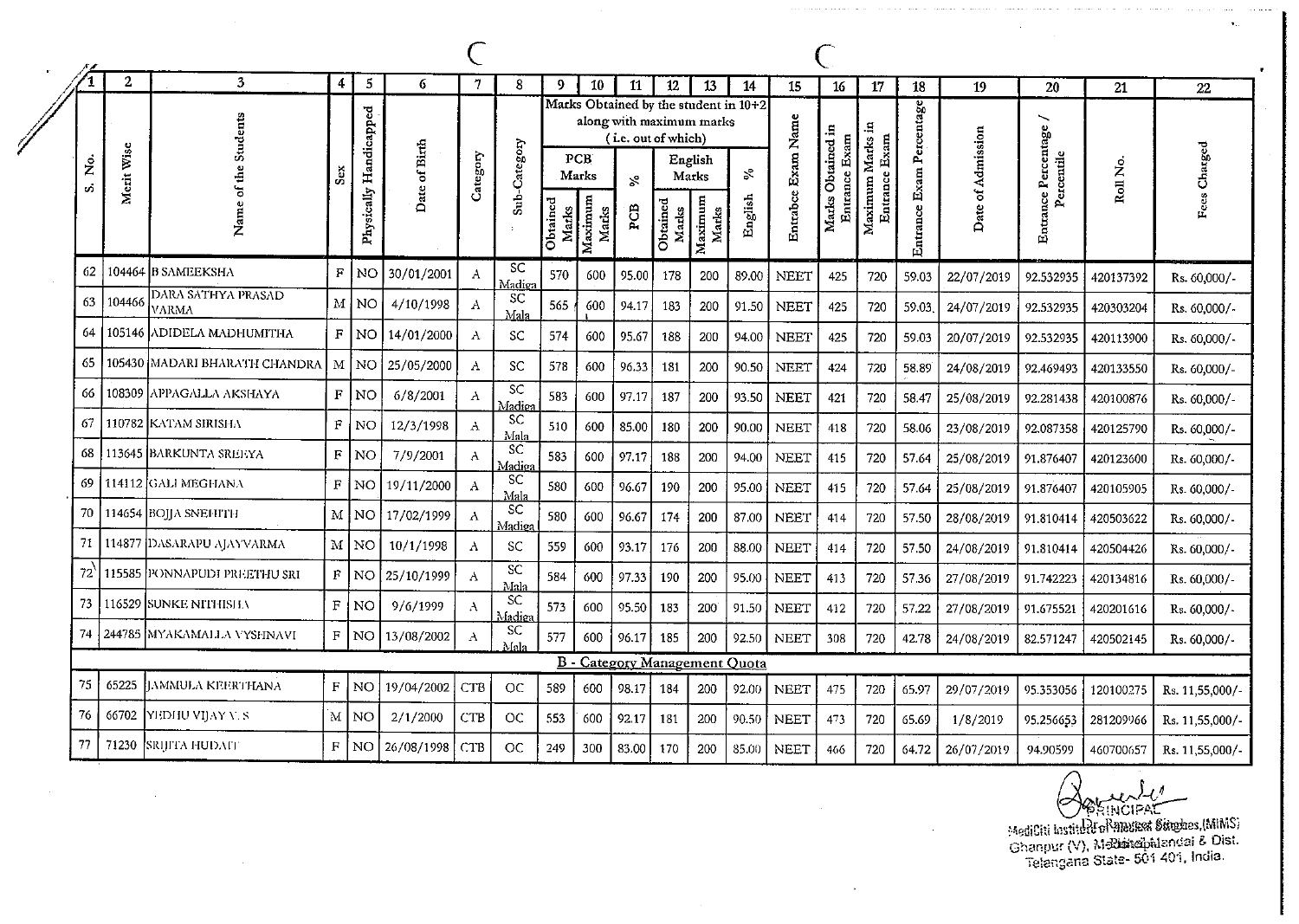$\overline{2}$  $\overline{\mathbf{3}}$  $\overline{4}$  $\mathbf{5}$ 6  $\overline{7}$ 8  $\overline{9}$ 10 11 12 13 14 15 16 17 18  $\overline{21}$ 19 20 22 Marks Obtained by the student in 10+2 Exam Percentage Physically Handicapped Name of the Students along with maximum marks Entrabce Exam Name ∽ Ξ. Entrance Percentage Marks Obtained in Date of Admission (i.e. out of which) Maximum Marks Entrance Exam Entrance Exam Date of Birth Sub-Category Fees Charged Merit Wise Category Percentile PCB<sup>-</sup>  $\dot{\tilde{z}}$ English Roll No. Sex  $\aleph$ Marks Marks  $\mathbf{x}^{\circ}$ s. English Obtained<br>Marks Maximum Maximum Obtained Entrance Marks PCB Marks Marks SC 104464 B SAMEEKSHA 62  $\mathbf F$ NO. 30/01/2001  $\overline{A}$ 570 600 95.00 178 200 89.00 **NEET** 425 720 59.03 22/07/2019 92.532935 420137392 Rs. 60,000/-Madiez DARA SATHYA PRASAD SC 63 104466  $\mathbf M$ NO. 4/10/1998  $\Lambda$ 565 600 94.17 183 200 91.50 **NEET** 425 720 59.03. 24/07/2019 92.532935 420303204 Rs. 60,000/-VARMA Mala 105146 ADIDELA MADHUMITHA 64  $\mathbf F$ **NO** 14/01/2000  $\Lambda$ 574 600 95.67 -SC 188 200 94.00 **NEET** 425 720 59.03 20/07/2019 92.532935 420113900 Rs. 60,000/-65 105430 MADARI BHARATH CHANDRA M NO 25/05/2000  $\overline{A}$ SC 96.33 578 600 181 200 90.50 **NEET** 424 720 58.89 24/08/2019 92.469493 420133550 Rs. 60,000/- $\overline{SC}$ 108309 APPAGALLA AKSHAYA 66  $F|NO$  $6/8/2001$  $\boldsymbol{\Lambda}$ 583 600 97.17 187 200 93.50 **NEET** 421 720 58.47 25/08/2019 92.281438 420100876 Rs. 60,000/-.<br>Madie a **SC** 67 110782 KATAM SIRISHA  $\mathbf{F}$ NO. 12/3/1998  $\mathbf{A}$ 510 600 85.00 180 200 90.00 **NEET** 720 58.06 418 23/08/2019 92.087358 420125790 Rs. 60,000/-Mala **SC** 68 **113645 BARKUNTA SREEYA**  $\mathbf{F}$ NO 7/9/2001  $\mathbf{A}$ 583 600 97.17 188 200 94.00 **NEET** 415 720 57.64 25/08/2019 91.876407 420123600 Rs. 60.000/-Madie: **SC** 69 114112 GALI MEGHANA  $\mathbf{F}$ NO 19/11/2000  $\mathbf{A}$ 580 600 96.67 100 200 95.00 **NEET** 415 720 57.64 25/08/2019 91.876407 420105905 Rs. 60,000/-Mala SC 70 114654 BOIIA SNEFITTH  $M$  NO 17/02/1999  $\Lambda$ 87.00 580 600 96.67 174 200 **NEET** 720 414 57.50 28/08/2019 91.810414 420503622 Rs. 60,000/-Madies 71 114877 DASARAPU AJAYVARMA  $M$  NO 10/1/1998  $\Lambda$ SC 559 600 93.17 176 200 88.00 **NEET** 414 720 57.50 24/08/2019 91.810414 420504426 Rs. 60,000/-SC  $72$ 115585 PONNAPUDI PREETHU SRI  $|F|$ NO<sub>1</sub> 25/10/1999  $\mathbf{A}$ 584 600 97.33 190 200 95.00 **NEET** 720 57.36 27/08/2019 413 91.742223 420134816 Rs. 60,000/-Mala SC. 73 116529 ISUNKE NITHISHA  $\mathbf F$  . NO 9/6/1999  $\mathcal{A}$ 573 600 95.50 183 91.50 **NEET** 200 412 720 57.22 27/08/2019 91.675521 420201616 Rs. 60,000/-Madie <sub>SC</sub> 74 244785 MYAKAMALLA VYSHNAVI  $F$  NO 13/08/2002  $\mathbf{A}$ 577 600 96.17 185 200 92.50 **NEET** 308 720 42.78 24/08/2019 82.571247 420502145 Rs. 60,000/-Mals **B** - Category Management Quota 75 65225 JAMMULA KEERTHANA  $F|NO$ 19/04/2002 **CTB OC** 589 600 98.17 **NEET** 184 200 92.00 475 720 65.97 29/07/2019 95.353056 120100275 Rs. 11,55,000/-76 66702 YEDHU VIJAY V. S MNO  $2/1/2000$ CTB **OC** 553 600 92.17 181 90.50 200 **NEET** 473 720 65.69  $1/8/2019$ 95.256653 281209966 Rs. 11,55,000/-77 71230 **SRIJITA HUDAFI**  $F<sub>1</sub>$ I NO 26/08/1998 CTB **OC** 249 300 83.00 170 200 85.00 **NEET** 466 720 64.72 26/07/2019 94.90599 460700657 Rs. 11,55,000/-

**DINCIPAL** 

MediCiti Institute of Annuscal Staghes, (MIMS) Ghanpur (V), Mediaseibalandai & Dist.<br>Telangana State- 501 401, India.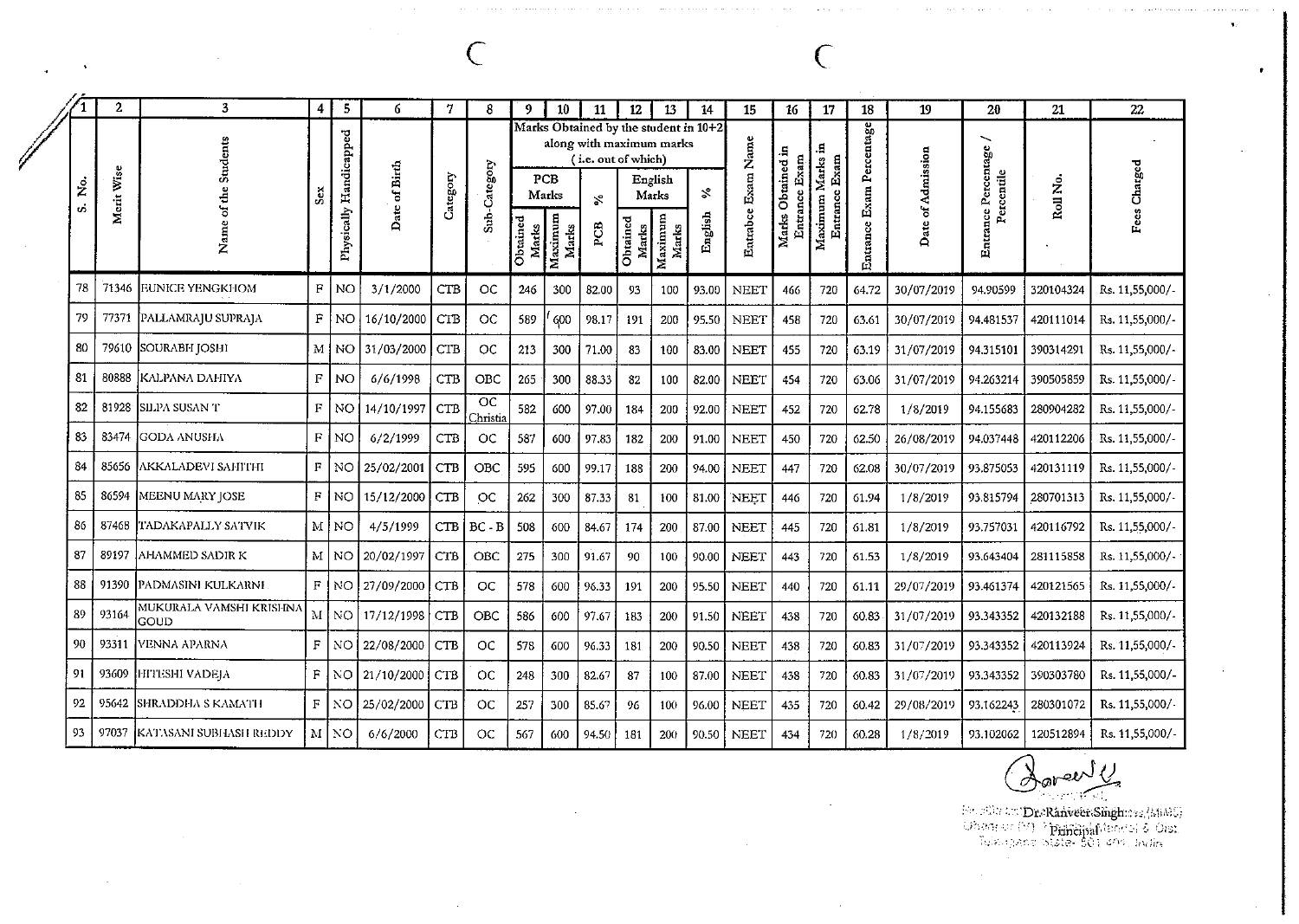|    |         | $\boldsymbol{2}$ | 3                               | 4            | 5                      | 6                   | 7          | 8                                  | -9                | 10               | 11                                              | 12                | 13               | 14                                    | 15                 | 16                  | 17                        | 18            | 19                | 20                  | 21        | 22              |
|----|---------|------------------|---------------------------------|--------------|------------------------|---------------------|------------|------------------------------------|-------------------|------------------|-------------------------------------------------|-------------------|------------------|---------------------------------------|--------------------|---------------------|---------------------------|---------------|-------------------|---------------------|-----------|-----------------|
|    |         |                  | Students                        |              |                        |                     |            |                                    |                   |                  | along with maximum marks<br>(i.e. out of which) |                   |                  | Marks Obtained by the student in 10+2 |                    |                     | 9                         | Percentage    |                   | ╰                   |           |                 |
|    | ż<br>ທ່ | Merit Wise       | de                              | Š            |                        | Date of Birth       | Category   | Sub-Category                       |                   | PCB<br>Marks     | Š,                                              |                   | English<br>Marks | ళి                                    |                    | Obtained in<br>Exam | ₫                         |               | Date of Admission | Percentile          | Roll No.  | Fees Charged    |
|    |         |                  | ह<br>ä<br>Ž                     |              | Physically Handicapped |                     |            |                                    | Obtained<br>Marks | Maximum<br>Marks | PCB                                             | Obtained<br>Marks | Maximum<br>Marks | English                               | Entrabce Exam Name | Entrance.<br>Marks  | Maximum Marks<br>Entrance | Entrance Exam |                   | Entrance Percentage |           |                 |
|    | 78      | 71346            | <b>EUNICE YENGKHOM</b>          | $\mathbf F$  | <b>NO</b>              | 3/1/2000            | <b>CTB</b> | OC                                 | 246               | 300              | 82.00                                           | 93                | 100              | 93.00                                 | <b>NEET</b>        | 466                 | 720                       | 64.72         | 30/07/2019        | 94.90599            | 320104324 | Rs. 11,55,000/- |
|    | 79      | 77371            | <b>PALLAMRAJU SUPRAJA</b>       | $\mathbf F$  | NO.                    | 16/10/2000          | CTB        | OC                                 | 589               | 600              | 98.17                                           | 191               | 200              | 95.50                                 | <b>NEET</b>        | 458                 | 720                       | 63.61         | 30/07/2019        | 94.481537           | 420111014 | Rs. 11,55,000/- |
|    | 80      |                  | 79610 SOURABH JOSHI             |              |                        | M   NO   31/03/2000 | <b>CTB</b> | OC                                 | 213               | 300              | 71.00                                           | 33                | 100              | 83.00                                 | <b>NEET</b>        | 455                 | 720                       | 63.19         | 31/07/2019        | 94.315101           | 390314291 | Rs. 11,55,000/- |
| 81 |         | 80888            | <b>KALPANA DAHIYA</b>           | $\mathbb F$  | <b>NO</b>              | 6/6/1998            | <b>CTB</b> | OBC                                | 265               | 300              | 88.33                                           | 82                | 100              | 82.00                                 | <b>NEET</b>        | 454                 | 720                       | 63.06         | 31/07/2019        | 94.263214           | 390505859 | Rs. 11,55,000/- |
|    | 82      | 81928            | SILPA SUSAN T                   | $\mathbf F$  | NO.                    | 14/10/1997          | <b>CTB</b> | $\overline{\text{oc}}$<br>Christia | 582               | 600              | 97.00                                           | 184               | 200              | 92.00                                 | <b>NEET</b>        | 452                 | 720                       | 62.78         | 1/8/2019          | 94.155683           | 280904282 | Rs. 11,55,000/- |
| 83 |         | 83474            | GODA ANUSHA                     | $\mathbf{F}$ | <b>NO</b>              | 6/2/1999            | CTB        | <b>OC</b>                          | 587               | 600              | 97.83                                           | 182               | 200              | 91.00                                 | <b>NEET</b>        | 450                 | 720                       | 62.50         | 26/08/2019        | 94.037448           | 420112206 | Rs. 11,55,000/- |
| 84 |         |                  | 85656 AKKALADEVI SAHITHI        | $\mathbf F$  | NO.                    | 25/02/2001          | <b>CTB</b> | OBC                                | 595               | 600              | 99.17                                           | 188               | 200              | 94.00                                 | NEET               | 447                 | 720                       | 62.08         | 30/07/2019        | 93.875053           | 420131119 | Rs. 11.55.000/- |
| 85 |         |                  | 86594   MEENU MARY JOSE         | F            | NO.                    | 15/12/2000          | <b>CTB</b> | OC                                 | 262               | 300              | 87.33                                           | 81                | 100              | 81.00                                 | NEET               | 446                 | 720                       | 61.94         | 1/8/2019          | 93.815794           | 280701313 | Rs. 11.55,000/  |
| 86 |         | 87468            | TADAKAPALLY SATVIK              | M l          | l no                   | 4/5/1999            | <b>CTB</b> | $BC - B$                           | 508               | 600              | 84.67                                           | 174               | 200              | 87.00                                 | <b>NEET</b>        | 445                 | 720                       | 61.81         | 1/8/2019          | 93.757031           | 420116792 | Rs. 11,55,000/- |
| 87 |         | 89197            | <b>AHAMMED SADIR K</b>          |              | M   NO                 | 20/02/1997          | CTB        | <b>OBC</b>                         | 275               | 300              | 91.67                                           | 90                | 100              | 90.00                                 | <b>NEET</b>        | 443                 | 720                       | 61.53         | 1/8/2019          | 93.643404           | 281115858 | Rs. 11,55,000/- |
| 88 |         | 91390            | PADMASINI KULKARNI              | F            | NO.                    | 27/09/2000          | <b>CTB</b> | OC                                 | 578               | 600              | 96.33                                           | 191               | 200              | 95.50                                 | <b>NEET</b>        | 440                 | 720                       | 61.11         | 29/07/2019        | 93.461374           | 420121565 | Rs. 11,55,000/  |
| 89 |         | 93164            | MUKURALA VAMSHI KRISHNA<br>GOUD | $\mathbf{M}$ | NO.                    | 17/12/1998          | <b>CTB</b> | OBC                                | 586               | 600              | 97.67                                           | 183               | 200              | 91.50                                 | <b>NEET</b>        | 438                 | 720                       | 60.83         | 31/07/2019        | 93.343352           | 420132188 | Rs. 11,55,000/  |
| 90 |         | 93311            | VENNA APARNA                    | $\mathbf{F}$ | NO.                    | 22/08/2000          | <b>CTB</b> | <b>OC</b>                          | 578               | 600              | 96.33                                           | 181               | 200              | 90.50                                 | <b>NEET</b>        | 438                 | 720                       | 60.83         | 31/07/2019        | 93.343352           | 420113924 | Rs. 11.55.000/- |
| 91 |         | 93609            | <b>HITESHI VADEJA</b>           | F            | NO.                    | 21/10/2000          | CTB        | OC                                 | 248               | 300              | 82.67                                           | 87                | 100              | 87.00                                 | NEET               | 438                 | 720                       | 60.83         | 31/07/2019        | 93.343352           | 390303780 | Rs. 11.55,000/- |
| 92 |         | 95642            | SHRADDHA S KAMATH               | F            | NO.                    | 25/02/2000          | <b>CTB</b> | OC                                 | 257               | 300              | 85.67                                           | 96                | 100              | 96.00                                 | <b>NEET</b>        | 435                 | 720                       | 60.42         | 29/08/2019        | 93.162243           | 280301072 | Rs. 11,55,000/- |
| 93 |         | 97037            | KATASANI SUBHASH REDDY          | $\mathbf{M}$ | NO.                    | 6/6/2000            | <b>CTB</b> | OC                                 | 567               | 600              | 94.50                                           | 181               | 200              | 90.50                                 | NEET               | 434                 | 720                       | 60.28         | 1/8/2019          | 93.102062           | 120512894 | Rs. 11.55,000/- |

 $\sim$ 

Dareer y

 $\sim$   $\sim$ 

Secretarian Dra**RahveenSingh**rass (MMG)<br>University (19) - **Principal** factorial & Olist<br>Tulkis pendi State- 501-405, India

 $\mathbf{v}$ 

 $\bullet$ 

 $\overline{C}$ 

 $\overline{C}$ 

 $\sim$  10  $\,$ 

,,

 $\sim$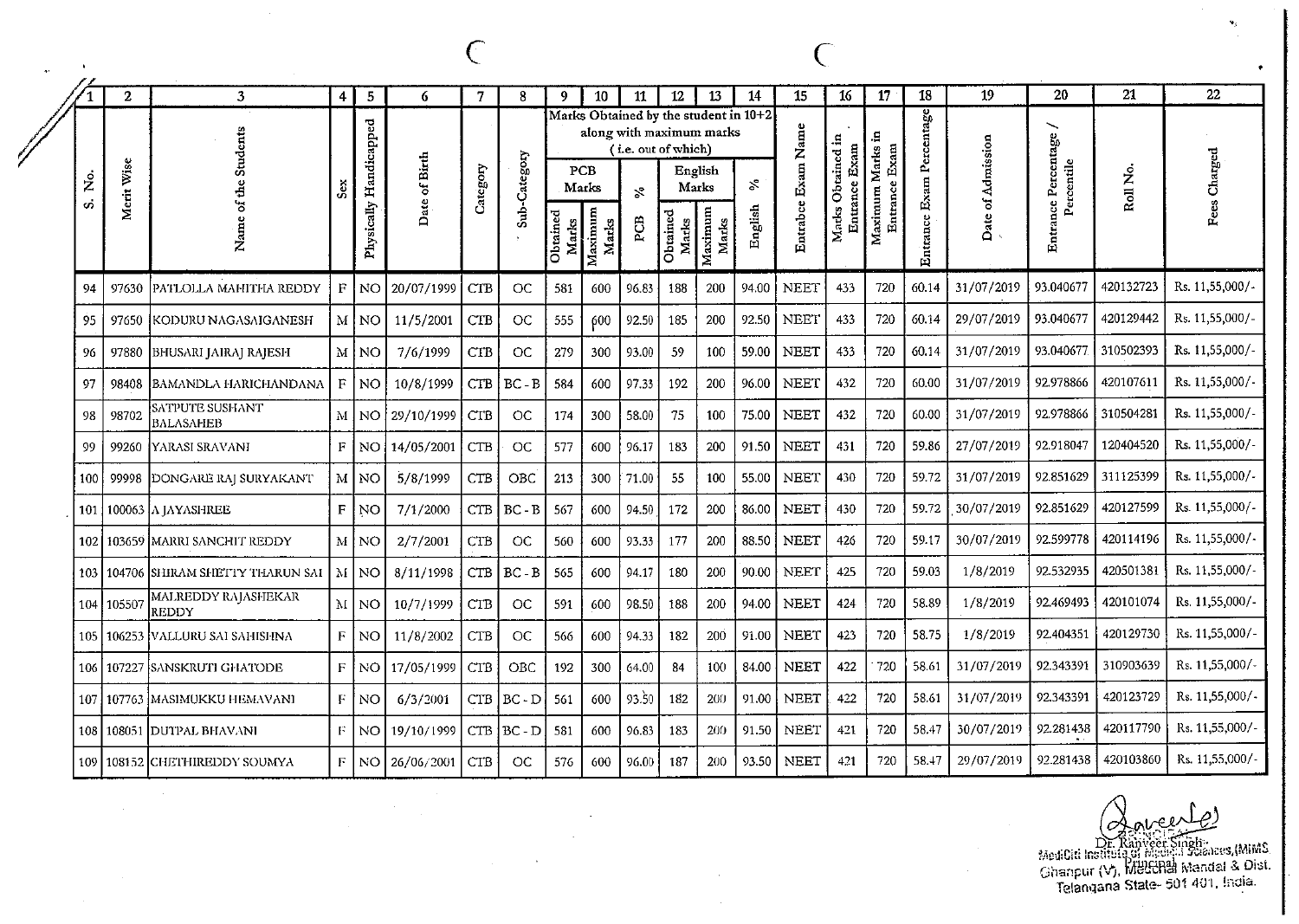|               | $\mathbf{2}$ | 3                            | 4 | 5              | 6                         |            | 8          | 9.     | 10               | 11                                              | 12                | 13               | 14                                    | 15          | 16                   | 17                  | 18               | 19                | 20              | 21             | 22              |
|---------------|--------------|------------------------------|---|----------------|---------------------------|------------|------------|--------|------------------|-------------------------------------------------|-------------------|------------------|---------------------------------------|-------------|----------------------|---------------------|------------------|-------------------|-----------------|----------------|-----------------|
|               |              | cnts                         |   | Handicapped    |                           |            |            |        |                  | along with maximum marks<br>(i.e. out of which) |                   |                  | Marks Obtained by the student in 10+2 | Name        | 1<br>Exam<br>ρ       | £.<br>Exam          | Percentage       |                   | ╲<br>Percentage |                |                 |
| $\frac{6}{2}$ | Wise         |                              |   |                | of Birth                  | Category   | Category   |        | PCB<br>Marks     | $\mathcal{S}^{\bullet}$                         |                   | English<br>Marks | $\mathcal{S}$                         | Exam        |                      | Marks               |                  |                   | Percentile      | ż              | arged<br>ే      |
| $\sim$        | Merit        | z                            | Ō | sically<br>Phy | Date.                     |            | <b>Sub</b> | Obtain | Maximum<br>Marks | PCB                                             | Obtained<br>Marks | Maximum<br>Marks | English                               | Entrabce    | <b>Larks</b><br>E.nu | Entrance<br>Maximum | Exam<br>Entrance | Date of Admission | nce<br>Entra    | $_{\rm{RoII}}$ |                 |
| 94            |              | 97630 PATLOLLA MAHITHA REDDY |   |                | F NO 20/07/1999           | <b>CTB</b> | OC         | 581    | 600              | 96.83                                           | 188               | 200              | 94.00                                 | NEET        | 433                  | 720                 | 60.14            | 31/07/2019        | 93.040677       | 420132723      | Rs. 11,55,000/- |
| 95            | 97650        | <b>KODURU NAGASAIGANESH</b>  |   | M NO           | 11/5/2001                 | <b>CTB</b> | OC         | 555    | 600              | 92.50                                           | 185               | 200              | 92.50                                 | <b>NEET</b> | 433                  | 720                 | 60.14            | 29/07/2019        | 93.040677       | 420129442      | Rs. 11,55,000/- |
| -96           |              | 97880 BHUSARI JAIRAJ RAJESH  |   | M   NO         | 7/6/1999                  | CTB        | OC.        | 279    | 300              | 93.00                                           | 59                | 100              | 59.00                                 | NEET        | 433                  | 720                 | 60.14            | 31/07/2019        | 93.040677       | 310502393      | Rs. 11,55,000/- |
| 97            | 98408        | BAMANDLA HARICHANDANA        | F | NO)            | 10/8/1999                 | CTB        | $BC - B$   | 584    | 600              | 97.33                                           | 192               | 200              | 96.00                                 | NEET        | 432                  | 720                 | 60.00            | 31/07/2019        | 92.978866       | 420107611      | Rs. 11,55,000/- |
| 98            | 98702        | SATPUTE SUSHANT<br>BALASAHEB |   |                | M   NO   29/10/1999   CTB |            | OC         | 174    | 300              | 58.00                                           | 75                | 100              | 75.00                                 | <b>NEET</b> | 432                  | 720                 | 60.00            | 31/07/2019        | 92.978866       | 310504281      | Rs. 11,55,000/- |
| -99           |              | 99260 YARASI SRAVANI         |   |                | $F$   NO   14/05/2001     | <b>CTB</b> | OC         | 577    | 600              | 96.17                                           | 183               | 200              | 91.50                                 | <b>NEET</b> | 431                  | 720                 | 59.86            | 27/07/2019        | 92.918047       | 120404520      | Rs. 11,55,000/- |
| 100           |              | 99998 DONGARE RAJ SURYAKANT  |   | M NO           | 5/8/1999                  | CTB        | <b>OBC</b> | 213    | 300              | 71.00                                           | 55                | 100              | 55.00                                 | <b>NEET</b> | 430                  | 720                 | 59.72            | 31/07/2019        | 92.851629       | 311125399      | Rs. 11,55,000/- |
|               |              | 101   100063   A JAYASHREE   |   | F NO           | 7/1/2000                  | CTB        | $BC - B$   | 567    | 600              | 94.50                                           | 172               | 200              | 86.00                                 | NEET        | 430                  | 720                 | 59.72            | 30/07/2019        | 92.851629       | 420127599      | Rs. 11,55,000/  |

103

104

105

106

107

108

109

1,55,000/  $1,55,000/-$ 1,55,000/-Rs. 11,55,000/-92.599778 420114196 30/07/2019 102 103659 MARRI SANCHIT REDDY  $M|NO$  $2/7/2001$ **CTB**  $OC$ 560 600  $93.33$ 177 200 88.50 **NEET** 426 720 59.17 104706 SHIRAM SHETTY THARUN SAI  $\mathbf{M}$  $\ensuremath{\mathsf{CTB}}$ 90.00 **NEET** 425 720 59.03 1/8/2019 92.532935 420501381 Rs. 11,55,000/-NO<sub>1</sub> 8/11/1998  $BC - B$ 565 600 94.17 180 200 MALREDDY RAJASHEKAR 92.469493 420101074 Rs. 11,55,000/-M 600 58.89 1/8/2019 | NO 10/7/1999  $\ensuremath{\mathsf{CTB}}$ 94.00 NEET 424 720 105507 OC. 591 98.50 188 200 **REDDY** 92.404351 420129730 Rs. 11,55,000/-| 106253 | VALLURU SAI SAHISHNA  $\bar{\mathrm{F}}$ 11/8/2002 **CTB**  $_{\rm OC}$ 600 94.33 200 91.00 NEET 423 720 58.75  $1/8/2019$ NO. 566 182 310903639 Rs. 11,55,000/-31/07/2019 92.343391 SANSKRUTI GHATODE  $\rm F$ **NO** 17/05/1999  $\ensuremath{\mathsf{CTB}}$  $OBC$ 300  $84$ 100 84.00 NEET 422 720 58.61 107227 192 64.00 93.50 31/07/2019 92.343391 420123729 Rs. 11,55,000/ 107763 MASIMUKKU HEMAVANI  $\mathbf F$ NO  $6/3/2001$  $CTB$ BC - D 561 600 182 200 91.00 **NEET** 422 720 58.61 92.281438 420117790 Rs. 11,55,000/- $\bar{\mathrm{F}}$ **NEET** 720 30/07/2019 581 600 200 91.50 421 58.47 108051 DUTPAL BHAVANI NO. 19/10/1999  $CTB$   $BC - D$ 96.83 183 Rs. 11,55,000/-29/07/2019 92.281438 420103860 **NEET** 58.47 108152 CHETHIREDDY SOUMYA  $\mathbb F$ NO 26/06/2001  $CTB$  $OC$ 576 600 96.00 187 200 93.50 421 720

Dr. Ranveer Singh<br>shinta of Medici Sciences (MIMS

MediCiti Institute of Madisian Stranes (MiMia)<br>Ghanpur (V), MeddRall Mandal & Dist. Telangana State- 501 401, India.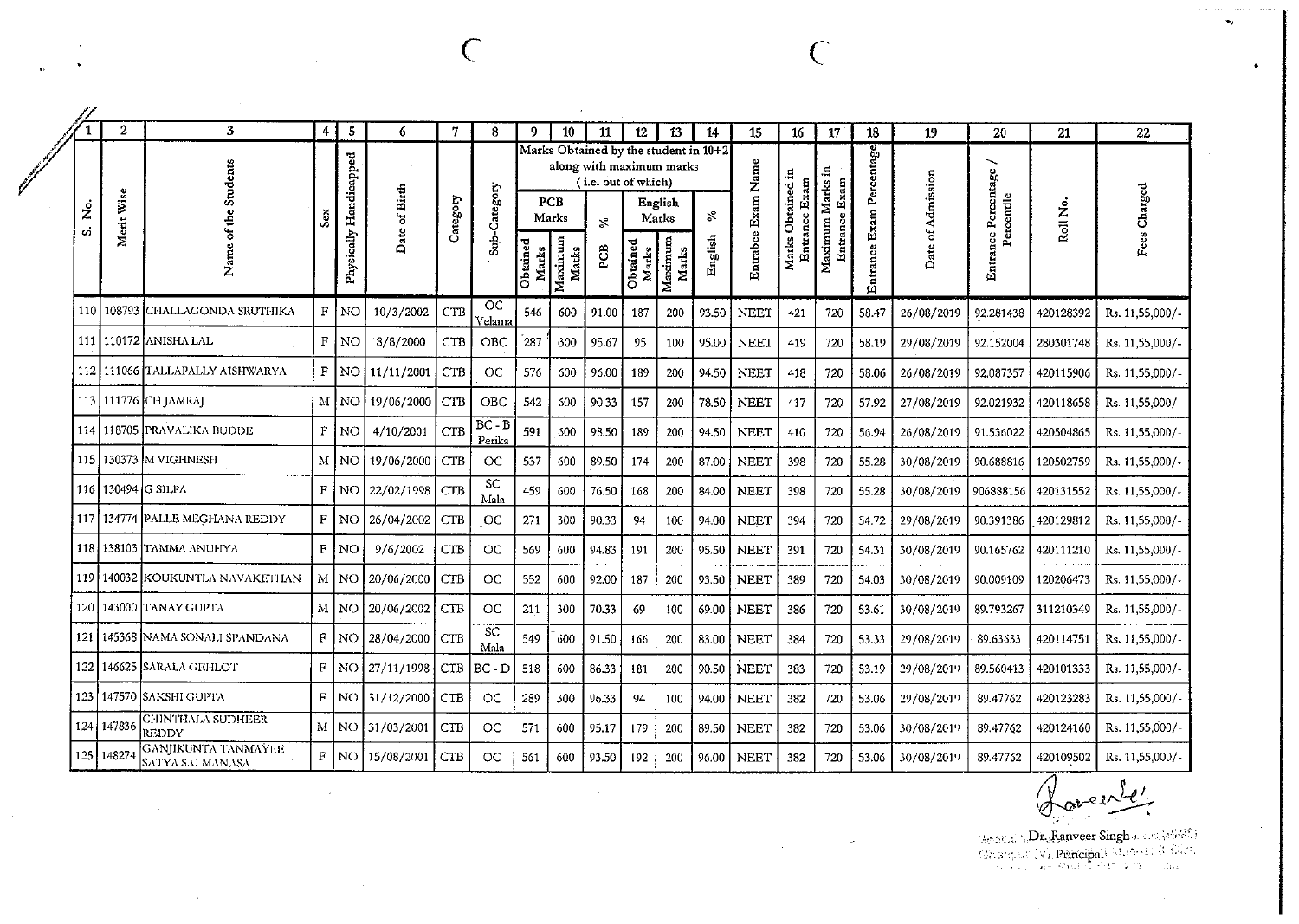$\sim 10^7$ 

 $\sim$ 

 $\rightarrow$ 

|           | $\mathbf{2}$ | $\mathbf{3}$                            | 4              | $\sqrt{5}$             | 6                 | 7          | 8                  | 9                 | 10               | 11                                                                                       | 12                | 13               | 14      | 15                 | 16                           | 17               | 18                       | 19                | 20                  | 21        | 22              |
|-----------|--------------|-----------------------------------------|----------------|------------------------|-------------------|------------|--------------------|-------------------|------------------|------------------------------------------------------------------------------------------|-------------------|------------------|---------|--------------------|------------------------------|------------------|--------------------------|-------------------|---------------------|-----------|-----------------|
|           |              | Students                                |                |                        |                   |            |                    |                   |                  | Marks Obtained by the student in 10+2<br>along with maximum marks<br>(i.e. out of which) |                   |                  |         |                    |                              |                  |                          |                   | ∼                   |           |                 |
| ż.<br>ςή. | Merit Wise   | of the                                  | ۊ              |                        | Date of Birth     | Category   | Sub-Category       |                   | PCB<br>Marks     | $\mathfrak{Z}_{\mathfrak{a}}$                                                            |                   | English<br>Marks | వ       |                    | Obtained in<br>Entrance Exam | Entrance Exam    |                          |                   | Percentile          | Roll No.  | Fees Charged    |
|           |              | Name                                    |                | Physically Handicapped |                   |            |                    | Obtained<br>Marks | Maximum<br>Marks | PCB                                                                                      | Obtained<br>Marks | Maximum<br>Marks | English | Entrabce Exam Name | Marks                        | Maximum Marks in | Entrance Exam Percentage | Date of Admission | Entrance Percentage |           |                 |
|           |              | 110   108793  CHALLAGONDA SRUTHIKA      | $\mathbf F$    | NO.                    | 10/3/2002         | <b>CTB</b> | OC<br>.<br>Velama  | 546               | 600              | 91.00                                                                                    | 187               | 200              | 93.50   | <b>NEET</b>        | 421                          | 720              | 58.47                    | 26/08/2019        | 92.281438           | 420128392 | Rs. 11,55,000/- |
|           |              | 111   110172 ANISHA LAL                 | $\mathbf F$    | NO                     | 8/8/2000          | <b>CTB</b> | OBC                | 287               | 300              | 95.67                                                                                    | 95                | 100              | 95.00   | <b>NEET</b>        | 419                          | 720              | 58.19                    | 29/08/2019        | 92.152004           | 280301748 | Rs. 11,55,000/- |
|           |              | 112   111066   TALLAPALLY AISHWARYA     | $\mathbf{F}$   | NO.                    | 11/11/2001        | <b>CTB</b> | ОC                 | 576               | 600              | 96.00                                                                                    | 189               | 200              | 94.50   | <b>NEET</b>        | 418                          | 720              | 58.06                    | 26/08/2019        | 92,087357           | 420115906 | Rs. 11,55,000/- |
| 113       |              | <b>111776 CH JAMRAJ</b>                 | M              | NO.                    | 19/06/2000        | CTB        | OBC                | 542               | 600              | 90.33                                                                                    | 157               | 200              | 78.50   | <b>NEET</b>        | 417                          | 720              | 57.92                    | 27/08/2019        | 92.021932           | 420118658 | Rs. 11,55,000/- |
| 114       |              | 118705 PRAVALIKA BUDDE                  | $\mathbf{F}$   | <b>NO</b>              | 4/10/2001         | <b>CTB</b> | $BC - B$<br>Perika | 591               | 600              | 98.50                                                                                    | 189               | 200              | 94.50   | <b>NEET</b>        | 410                          | 720              | 56.94                    | 26/08/2019        | 91.536022           | 420504865 | Rs. 11,55,000/- |
| 115       |              | 130373 M VIGHNESH                       | M              | NO                     | 19/06/2000        | <b>CTB</b> | <b>OC</b>          | 537               | 600              | 89.50                                                                                    | 174               | 200              | 87.00   | <b>NEET</b>        | 398                          | 720              | 55.28                    | 30/08/2019        | 90.688816           | 120502759 | Rs. 11,55,000/- |
| 116       |              | 130494 G SILPA                          | F              | NO                     | 22/02/1998        | <b>CTB</b> | SC<br>Mala         | 459               | 600              | 76.50                                                                                    | 168               | 200              | 84.00   | <b>NEET</b>        | 398                          | 720              | 55.28                    | 30/08/2019        | 906888156           | 420131552 | Rs. 11,55,000/- |
| 117       |              | 134774 PALLE MEGHANA REDDY              | $\mathbf{F}$   | NO.                    | 26/04/2002        | CTB        | <b>OC</b>          | 271               | 300              | 90.33                                                                                    | 94                | 100              | 94.00   | NEET               | 394                          | 720              | 54.72                    | 29/08/2019        | 90.391386           | 420129812 | Rs. 11,55,000/- |
| 118       |              | 138103 TAMMA ANUHYA                     | $\mathbf{F}$ . | N <sub>O</sub>         | 9/6/2002          | CТB        | <b>OC</b>          | 569               | 600              | 94.83                                                                                    | 191               | 200              | 95.50   | <b>NEET</b>        | 391                          | 720              | 54.31                    | 30/08/2019        | 90.165762           | 420111210 | Rs. 11,55,000/- |
| 119       |              | 140032 KOUKUNTLA NAVAKETI IAN           |                | M NO                   | 20/06/2000        | CTB        | <b>OC</b>          | 552               | 600              | 92.00                                                                                    | 187               | 200              | 93.50   | <b>NEET</b>        | 389                          | 720              | 54.03                    | 30/08/2019        | 90.009109           | 120206473 | Rs. 11,55,000/- |
| 120       |              | 143000 ITANAY GUPTA                     |                | M I NO                 | 20/06/2002        | <b>CTB</b> | <b>OC</b>          | 211               | 300              | 70.33                                                                                    | 69                | 100              | 69.00   | <b>NEET</b>        | 386                          | 720              | 53.61                    | 30/08/2019        | 89.793267           | 311210349 | Rs. 11,55,000/- |
| 121       | 145368       | INAMA SONALI SPANDANA                   | F              | NO.                    | 28/04/2000        | <b>CTB</b> | <b>SC</b><br>Mala  | 549               | 600              | 91.50                                                                                    | 166               | 200              | 83.00   | <b>NEET</b>        | 384                          | 720              | 53.33                    | 29/08/2019        | 89.63633            | 420114751 | Rs. 11,55,000/- |
| 122       | 146625       | ISARALA GEHLOT                          | $_{\rm F}$     |                        | NO 27/11/1998     | <b>CTB</b> | $BC - D$           | 518               | 600              | 86.33                                                                                    | 181               | 200              | 90 50   | <b>NEET</b>        | 383                          | 720              | 53.19                    | 29/08/2019        | 89.560413           | 420101333 | Rs. 11,55,000/- |
| 123       |              | 147570 ISAKSHI GUPTA                    | F              |                        | NO 31/12/2000     | <b>CTB</b> | $\overline{C}$     | 289               | 300              | 96.33                                                                                    | 94                | 100              | 94.00   | <b>NEET</b>        | 382                          | 720              | 53.06                    | 29/08/2019        | 89.47762            | 420123283 | Rs. 11,55,000/- |
| 124       | 147836       | CHINTHALA SUDHEER<br>REDDY              |                |                        | M   NO 31/03/2001 | <b>CTB</b> | <b>OC</b>          | 571               | 600              | 95.17                                                                                    | 179               | 200              | 89.50   | <b>NEET</b>        | 382                          | 720              | 53.06                    | 30/08/2019        | 89.47762            | 420124160 | Rs. 11,55,000/- |
|           | 125 148274   | GANJIKUNTA TANMAYEE<br>SATYA SAI MANASA | F              | NO.                    | 15/08/2001        | CTB        | ОC                 | 561               | 600              | 93.50                                                                                    | 192               | 200              | 96.00   | <b>NEET</b>        | 382                          | 720              | 53.06                    | 30/08/2019        | 89.47762            | 420109502 | Rs. 11,55,000/- |

 $\mathbf{v}_I$ 

 $\bullet$ 

 $\label{eq:decomp} \begin{array}{l} \mbox{Area}(j) \oplus \mbox{Dr.} \mbox{Range} \ \mbox{Single} \ \mbox{size} \ \mbox{[Wb3C]} \\ \mbox{Gramper} \ \vee \mbox{[W] \ \mbox{Rindipal} \ \wedge \mbox{[G3C]} \ \wedge \mbox{[G3C] \ \wedge \mbox{[G3C] \ \wedge \mbox{[G3C] \ \wedge \mbox{[G3C] \ \wedge \mbox{[G3C] \ \wedge \mbox{[G3C] \ \wedge \mbox{[G3C] \ \wedge \mbox{[G3C] \ \wedge \mbox{[$ 

 $\sim 10^7$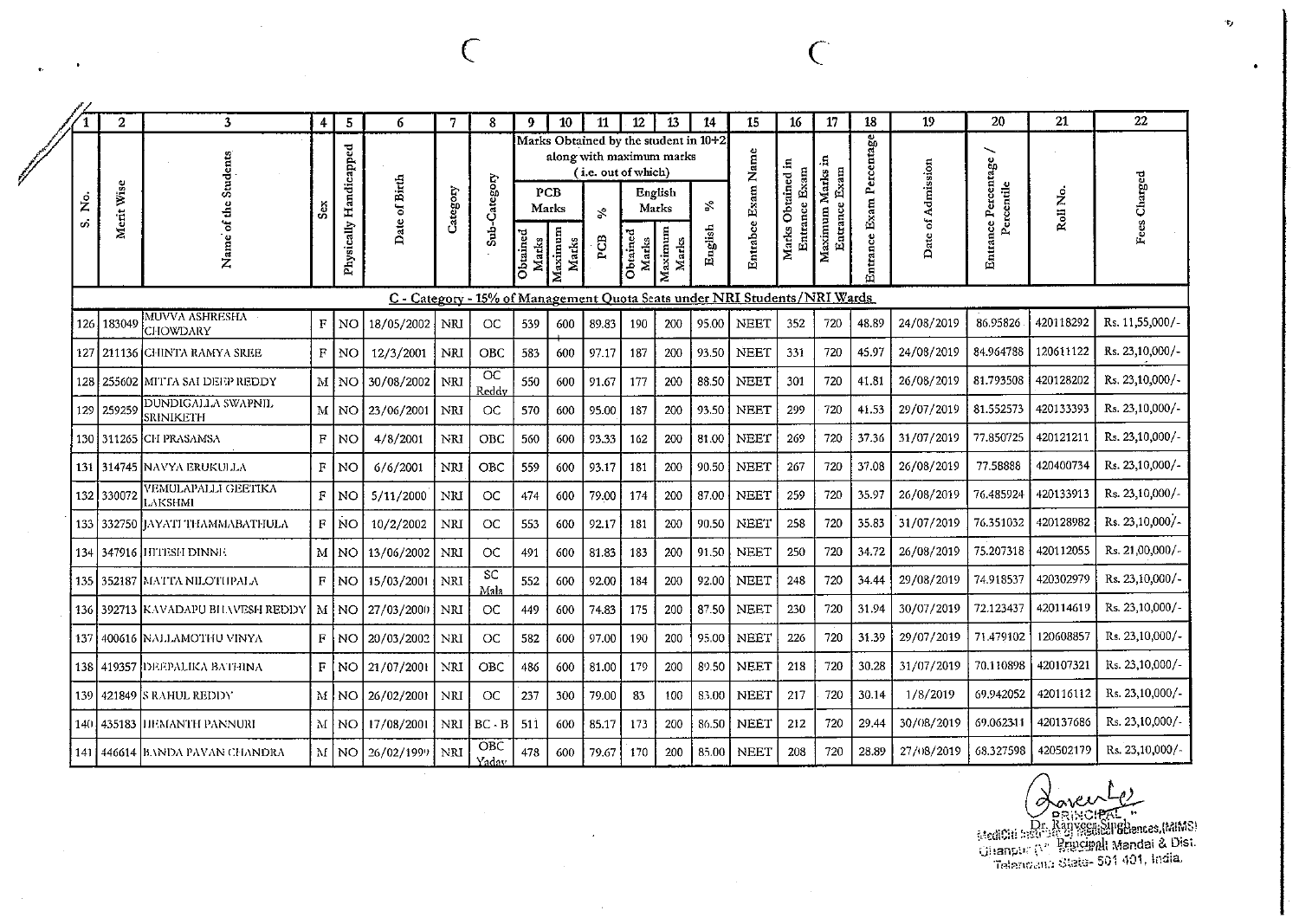|         | $\boldsymbol{2}$ | $\mathbf{3}$                      | $\overline{4}$ | 5                         | 6             | 7          | 8                  | 9                 | 10                               | 11                                                                                                    | 12                | 13                                   | 14                                  | 15                                                                        | 16                                    | 17                                | 18                          | 19                   | 20                                     | 21        | 22              |
|---------|------------------|-----------------------------------|----------------|---------------------------|---------------|------------|--------------------|-------------------|----------------------------------|-------------------------------------------------------------------------------------------------------|-------------------|--------------------------------------|-------------------------------------|---------------------------------------------------------------------------|---------------------------------------|-----------------------------------|-----------------------------|----------------------|----------------------------------------|-----------|-----------------|
| ż<br>o) | Merit Wise       | Students<br>ď<br>۵Ļ<br>Name       | Séx.           | Handicapped<br>Physically | Date of Birth | Category   | Sub-Category       | Obtained<br>Marks | PCB<br>Marks<br>Maximum<br>Marks | Marks Obtained by the student in 10+2<br>along with maximum marks<br>(i.e. out of which)<br>Š,<br>PCB | Obtained<br>Marks | English<br>Marks<br>Maximum<br>Marks | $\mathcal{S}^{\text{e}}$<br>English | Entrabce Exam Name                                                        | Obtained in<br>Entrance Exam<br>Marks | Maximum Marks in<br>Entrance Exam | Exam Percentage<br>Entrance | of Admission<br>Date | ∽<br>Entrance Percentage<br>Percentile | Roll No.  | Fees Charged    |
|         |                  |                                   |                |                           |               |            |                    |                   |                                  |                                                                                                       |                   |                                      |                                     | C - Category - 15% of Management Quota Seats under NRI Students/NRI Wards |                                       |                                   |                             |                      |                                        |           |                 |
| 126     | 183049           | MUVVA ASHRESHA<br><b>CHOWDARY</b> | F              | NO                        | 18/05/2002    | NRI        | OC                 | 539               | 600                              | 89.83                                                                                                 | 190               | 200                                  | 95.00                               | <b>NEET</b>                                                               | 3.52                                  | 720                               | 48.89                       | 24/08/2019           | 86.95826                               | 420118292 | Rs. 11,55,000/- |
| 127     |                  | 211136 CHINTA RAMYA SREE          | $\overline{F}$ | NO                        | 12/3/2001     | NRI        | <b>OBC</b>         | 583               | 600                              | 97.17                                                                                                 | 187               | 200                                  | 93.50                               | <b>NEET</b>                                                               | 331                                   | 720                               | 45.97                       | 24/08/2019           | 84.964788                              | 120611122 | Rs. 23,10,000/- |
| 128     |                  | 255602 MITTA SAI DEEP REDDY       | $\mathbf{M}$   | NO                        | 30/08/2002    | NRI        | <b>OC</b><br>Reddy | 550               | 600                              | 91.67                                                                                                 | 177               | 200                                  | 88.50                               | <b>NEET</b>                                                               | 301                                   | 720                               | 41.81                       | 26/08/2019           | 81.793508                              | 420128202 | Rs. 23,10,000/- |
| 129     | 259259           | DUNDIGALLA SWAPNIL<br>SRINIKETH   | $\mathbf M$    | NO.                       | 23/06/2001    | NRI        | <b>OC</b>          | 570               | 600                              | 95.00                                                                                                 | 187               | 200                                  | 93.50                               | <b>NEET</b>                                                               | 299                                   | 720                               | 41.53                       | 29/07/2019           | 81.552573                              | 420133393 | Rs. 23,10,000/- |
| 130     | 311265           | <b>CH PRASAMSA</b>                | $\mathbf F$    | NO                        | 4/8/2001      | NRI        | <b>OBC</b>         | 560               | 600                              | 93.33                                                                                                 | 162               | 200                                  | 81.00                               | <b>NEET</b>                                                               | 269                                   | 720                               | 37.36                       | 31/07/2019           | 77.850725                              | 420121211 | Rs. 23,10,000/- |
| 131     |                  | 314745  NAVYA ERUKULLA            | F              | NO                        | 6/6/2001      | NRI        | OBC                | 559               | 600                              | 93.17                                                                                                 | 181               | 200                                  | 90.50                               | NEET                                                                      | 267                                   | 720                               | 37.08                       | 26/08/2019           | 77.58888                               | 420400734 | Rs. 23,10,000/- |
| 132     | 330072           | VEMULAPALLI GEETIKA<br>LAKSHMI    | $\overline{F}$ | NO                        | 5/11/2000     | NRI        | OC                 | 474               | 600                              | 79.00                                                                                                 | 174               | 200                                  | 87.00                               | <b>NEET</b>                                                               | 259                                   | 720                               | 35.97                       | 26/08/2019           | 76.485924                              | 420133913 | Rs. 23,10,000/  |
| 133     | 332750           | HAYATI THAMMABATHULA              | $\mathbf F$    | NO <sub>1</sub>           | 10/2/2002     | NRI        | <b>OC</b>          | 553               | 600                              | 92.17                                                                                                 | 181               | 200                                  | 90.50                               | <b>NEET</b>                                                               | 258                                   | 720                               | 35.83                       | 31/07/2019           | 76.351032                              | 420128982 | Rs. 23,10,000/- |
| 134     |                  | 347916 IHTESH DINNE.              | M              | NO.                       | 13/06/2002    | <b>NRI</b> | <b>OC</b>          | 491               | 600                              | 81.83                                                                                                 | 183               | 200                                  | 91.50                               | <b>NEET</b>                                                               | 250                                   | 720                               | 34.72                       | 26/08/2019           | 75.207318                              | 420112055 | Rs. 21,00,000/- |
| 135     | 352187           | <b>IMATTA NILOTHPALA</b>          | F              | NO.                       | 15/03/2001    | <b>NRI</b> | <b>SC</b><br>Mala  | 552               | 600                              | 92.00                                                                                                 | 184               | 200                                  | 92.00                               | <b>NEET</b>                                                               | 248                                   | 720                               | 34.44                       | 29/08/2019           | 74.918537                              | 420302979 | Rs. 23,10,000/- |
| 136     |                  | 392713 KAVADAPU BILAVESH REDDY    | М              | <b>NO</b>                 | 27/03/2000    | NRI        | OC                 | 449               | 600                              | 74.83                                                                                                 | 175               | 200                                  | 87.50                               | <b>NEET</b>                                                               | 230                                   | 720                               | 31.94                       | 30/07/2019           | 72.123437                              | 420114619 | Rs. 23,10,000/- |
| 137     |                  | 400616 NALLAMOTHU VINYA           | $\mathbf F$    | NO                        | 20/03/2002    | NRI        | OC                 | 582               | 600                              | 97.00                                                                                                 | 190               | 200                                  | 95.00                               | <b>NEET</b>                                                               | 226                                   | 720                               | 31.39                       | 29/07/2019           | 71.479102                              | 120608857 | Rs. 23,10,000/- |
| 138     | 419357           | <b>ГЈЕЕРАLIKA ВАТНІNA</b>         | F              | NO                        | 21/07/2001    | NRI        | <b>OBC</b>         | 486               | 600                              | 81.00                                                                                                 | 179               | 200                                  | 89.50                               | <b>NEET</b>                                                               | 218                                   | 720                               | 30.28                       | 31/07/2019           | 70.110898                              | 420107321 | Rs. 23,10,000/- |
| 139     |                  | 421849 S RAHUL REDDY              |                | M NO                      | 26/02/2001    | <b>NRI</b> | OC                 | 237               | 300                              | 79.00                                                                                                 | 83                | 100                                  | 83.00                               | <b>NEET</b>                                                               | 217                                   | 720                               | 30.14                       | 1/8/2019             | 69.942052                              | 420116112 | Rs. 23,10,000/- |
| 140     | 435183           | HEMANTH PANNURI                   |                | MINO                      | 17/08/2001    | NRI        | $BC - B$           | 511               | 600                              | 85.17                                                                                                 | 173               | 200                                  | 86.50                               | <b>NEET</b>                                                               | 212                                   | 720                               | 29.44                       | 30/08/2019           | 69.062311                              | 420137686 | Rs. 23,10,000/- |
| 141     |                  | 446614 BANDA PAVAN CHANDRA        |                | MINO                      | 26/02/1999    | NRI        | OBC<br>Yaday       | 478               | 600                              | 79.67                                                                                                 | 170               | 200                                  | 85.00                               | <b>NEET</b>                                                               | 208                                   | 720                               | 28.89                       | 27/08/2019           | 68.327598                              | 420502179 | Rs. 23,10,000/  |

 $\sim$ 

C

 $\sim 10^7$ 

Concert Le Companion Companies (MAS)<br>En Ranyegue de Companies (MAS)<br>Chanpor (M. Processor Mandai & Dist.<br>Traianovana State-501 401, India.

 $\bullet$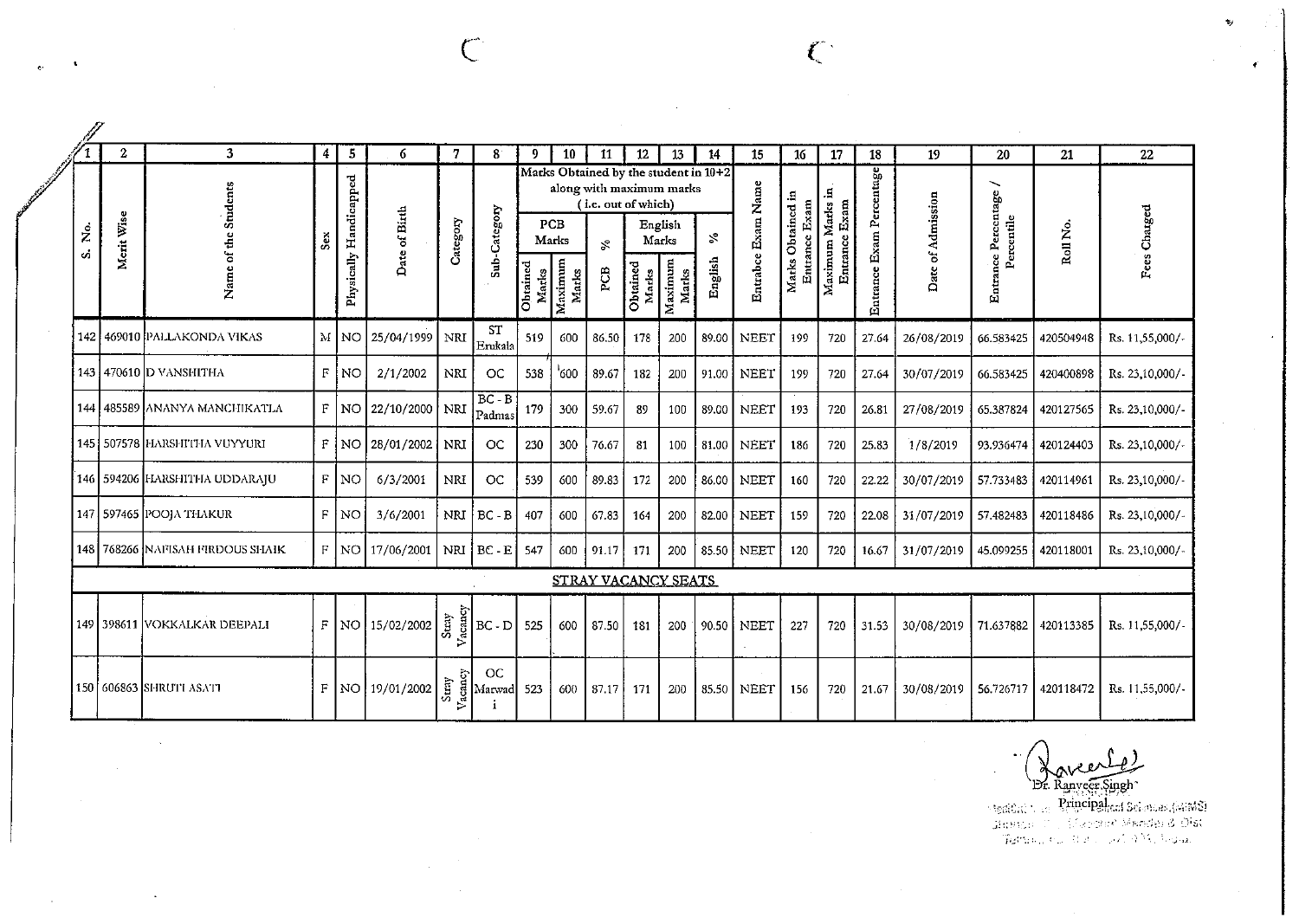$\mathscr{J}$ 

 $\mathcal{L}_{\mathbb{Z}}$ 

 $\sim 100$ 

|           | $\mathbf{2}$ | 3                                | 4     | 5                      | 6                   | 7          | $8^{\circ}$                                                                                                           | 9                 | 10                                      | 11                                                                                                    | 12                         | 13                          | 14            | 15                 | 16                                           | 17                                        | 18                       | 19                | 20                                                            | 21        | 22              |
|-----------|--------------|----------------------------------|-------|------------------------|---------------------|------------|-----------------------------------------------------------------------------------------------------------------------|-------------------|-----------------------------------------|-------------------------------------------------------------------------------------------------------|----------------------------|-----------------------------|---------------|--------------------|----------------------------------------------|-------------------------------------------|--------------------------|-------------------|---------------------------------------------------------------|-----------|-----------------|
| ρġ.<br>ς, | Merit Wise   | Name of the Students             | Sex.  | Physically Handicapped | Date of Birth       | Category   | Sub-Category                                                                                                          | Obtained<br>Marks | <b>PCB</b><br>Marks<br>Maximum<br>Marks | Marks Obtained by the student in 10+2<br>along with maximum marks<br>(i.e. out of which)<br>ž,<br>PСВ | Marks<br>Obtained<br>Marks | English<br>Maximum<br>Marks | వి<br>English | Entrabce Exam Name | Obtained in<br>Entrance Exam<br><b>Marks</b> | 9.<br>Maximum Marks<br>Exam<br>Entrance i | Entrance Exam Percentage | Date of Admission | $\overline{\phantom{0}}$<br>Entrance Percentage<br>Percentile | Roll No.  | Fees Charged    |
|           |              | 142 469010 PALLAKONDA VIKAS      |       | M NO                   | 25/04/1999          | NRI        | <b>ST</b><br>Erukala                                                                                                  | 519               | 600                                     | 86.50                                                                                                 | 178                        | 200                         | 89.00         | <b>NEET</b>        | 199                                          | 720                                       | 27.64                    | 26/08/2019        | 66.583425                                                     | 420504948 | Rs. 11,55,000/- |
|           |              | 143 470610 D VANSHITHA           | $F^-$ | <b>NO</b>              | 2/1/2002            | <b>NRI</b> | <b>OC</b>                                                                                                             | 538               | '600                                    | 89.67                                                                                                 | 182                        | 200                         | 91.00         | <b>NEET</b>        | 199                                          | 720                                       | 27.64                    | 30/07/2019        | 66.583425                                                     | 420400898 | Rs. 23,10,000/- |
|           |              | 144 485589 ANANYA MANCHIKATLA    |       |                        | F NO 22/10/2000 NRI |            | $BC - B$<br>Padmas                                                                                                    | 179               | 300                                     | 59.67                                                                                                 | 89                         | 100                         | 89.00         | <b>NEET</b>        | 193                                          | 720                                       | 26.81                    | 27/08/2019        | 65.387824                                                     | 420127565 | Rs. 23,10,000/- |
|           |              | 145   507578 HARSHITHA VUYYURI   |       |                        | $F$ NO 28/01/2002   | <b>NRI</b> | OC                                                                                                                    | 230               | 300                                     | 76.67                                                                                                 | 81                         | 100                         | 81.00         | <b>NEET</b>        | 186                                          | 720                                       | 25.83                    | 1/8/2019          | 93.936474                                                     | 420124403 | Rs. 23,10,000/- |
|           |              | 146   594206 HARSHITHA UDDARAJU  |       | $F$ NO                 | 6/3/2001            | <b>NRI</b> | OC                                                                                                                    | 539               | 600                                     | 89.83                                                                                                 | 172                        | 200                         | 86.00         | NEET               | 160                                          | 720                                       | 22.22                    | 30/07/2019        | 57.733483                                                     | 420114961 | Rs. 23,10,000/- |
|           |              | 147   597465   POOJA THAKUR      |       | $F$ NO                 | 3/6/2001            | NRI        | $BC - B$                                                                                                              | 407               | 600                                     | 67.83                                                                                                 | 164                        | 200                         | 82.00         | <b>NEET</b>        | 159                                          | 720                                       | 22.08                    | 31/07/2019        | 57 48 24 83                                                   | 420118486 | Rs. 23,10,000/- |
|           |              | 148 768266 NAFISAH FIRDOUS SHAIK |       |                        | $F$ NO 17/06/2001   |            | NRI BC - E                                                                                                            | 547               | 600                                     | 91.17                                                                                                 | 171                        | 200                         | 85.50         | NEET               | 120                                          | 720                                       | 16.67                    | 31/07/2019        | 45.099255                                                     | 420118001 | Rs. 23,10,000/- |
|           |              |                                  |       |                        |                     |            |                                                                                                                       |                   |                                         | STRAY VACANCY SEATS                                                                                   |                            |                             |               |                    |                                              |                                           |                          |                   |                                                               |           |                 |
|           |              | 149   398611 VOKKALKAR DEEPALI   |       |                        | $F$ NO 15/02/2002   |            | $2\left \sum_{\substack{r=1\\r\neq r}}^{\infty}\frac{1}{\log n}\right BC-D$                                           | 525               | 600                                     | 87.50                                                                                                 | 181                        | 200                         | 90.50         | <b>NEET</b>        | 227                                          | 720                                       | 31.53                    | 30/08/2019        | 71.637882                                                     | 420113385 | Rs. 11,55,000/- |
|           |              | 150 606863 SHRUTI ASATI          |       |                        | $F$ NO 19/01/2002   | Stray      | <b>OC</b><br>$\begin{array}{c c}\n\vdots \\ \text{big} \\ \text{Marwad} \\ \downarrow \\ \downarrow\n\end{array}$ 523 |                   | 600                                     | 87.17                                                                                                 | 171                        | 200                         | 85.50         | <b>NEET</b>        | 156                                          | 720                                       | 21.67                    | 30/08/2019        | 56.726717                                                     | 420118472 | Rs. 11,55,000/- |

Λ\

Br. Ranveer.Singh<br>Sterious - Principalisti Sciences.(49883)<br>Giussico - Concerto Mender & Olst<br>Termin, ru. Sub - 2019 M. Joseph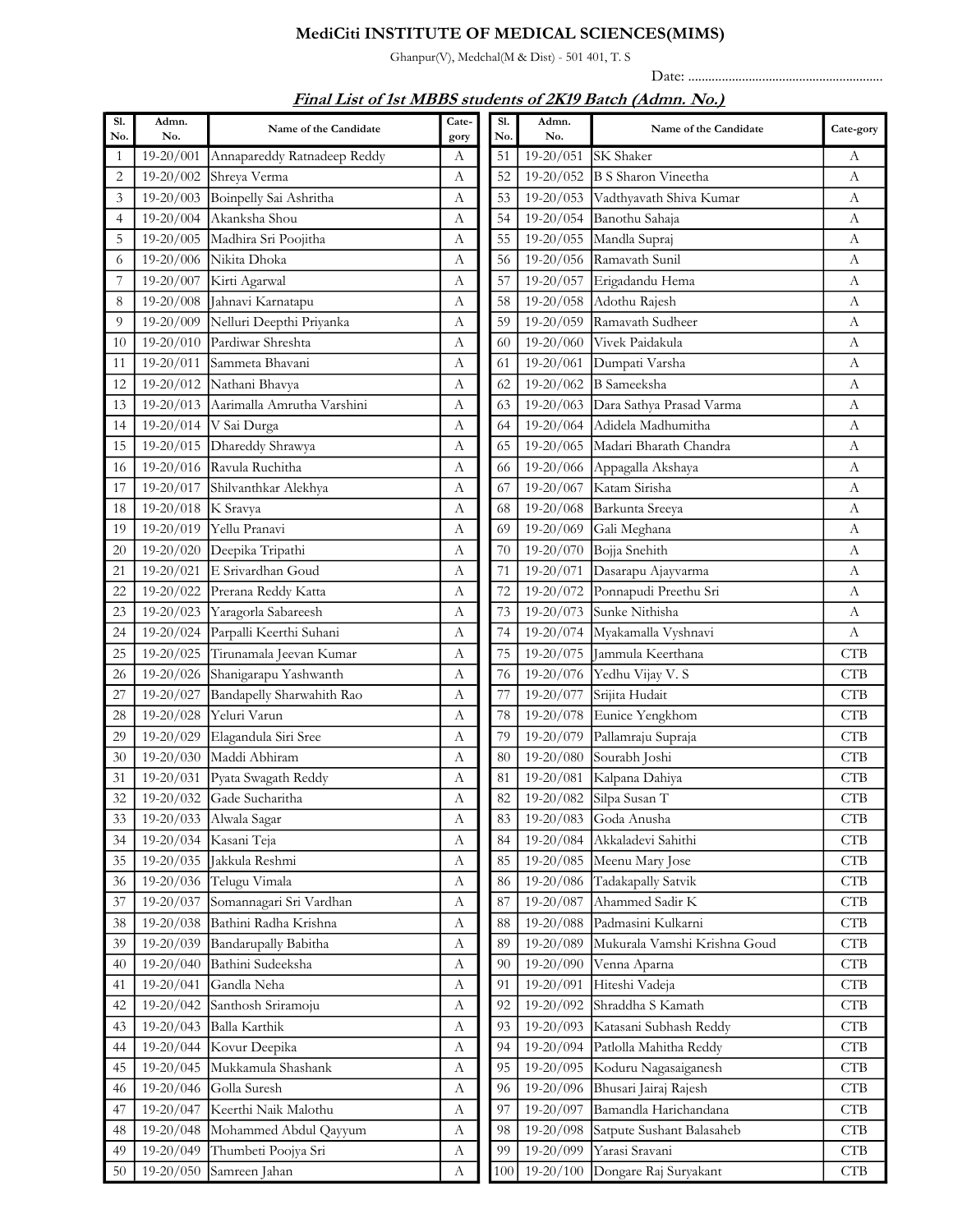## MediCiti INSTITUTE OF MEDICAL SCIENCES(MIMS)

Ghanpur(V), Medchal(M & Dist) - 501 401, T. S

Date: ..........................................................

| Sl.<br>No.       | Admn.<br>No.  | Name of the Candidate       | Cate-<br>gory | Sl.<br>No. | Admn.<br>No.  | Name of the Candidate        | Cate-gory                   |
|------------------|---------------|-----------------------------|---------------|------------|---------------|------------------------------|-----------------------------|
| 1                | 19-20/001     | Annapareddy Ratnadeep Reddy | А             | 51         | $19-20/051$   | SK Shaker                    | А                           |
| $\overline{c}$   | $19-20/002$   | Shreya Verma                | А             | 52         | $19-20/052$   | <b>B S Sharon Vineetha</b>   | А                           |
| 3                | 19-20/003     | Boinpelly Sai Ashritha      | А             | 53         | $19 - 20/053$ | Vadthyavath Shiva Kumar      | A                           |
| 4                | 19-20/004     | Akanksha Shou               | А             | 54         | 19-20/054     | Banothu Sahaja               | A                           |
| 5                | 19-20/005     | Madhira Sri Poojitha        | А             | 55         | 19-20/055     | Mandla Supraj                | A                           |
| 6                | $19-20/006$   | Nikita Dhoka                | А             | 56         | 19-20/056     | Ramavath Sunil               | A                           |
| $\boldsymbol{7}$ | 19-20/007     | Kirti Agarwal               | А             | 57         | 19-20/057     | Erigadandu Hema              | A                           |
| 8                | $19-20/008$   | Jahnavi Karnatapu           | А             | 58         | $19 - 20/058$ | Adothu Rajesh                | А                           |
| 9                | $19 - 20/009$ | Nelluri Deepthi Priyanka    | А             | 59         | $19 - 20/059$ | Ramavath Sudheer             | A                           |
| 10               | $19 - 20/010$ | Pardiwar Shreshta           | А             | 60         | 19-20/060     | Vivek Paidakula              | A                           |
| 11               | $19-20/011$   | Sammeta Bhavani             | А             | 61         | $19-20/061$   | Dumpati Varsha               | А                           |
| 12               | 19-20/012     | Nathani Bhavya              | А             | 62         | 19-20/062     | <b>B</b> Sameeksha           | A                           |
| 13               | $19 - 20/013$ | Aarimalla Amrutha Varshini  | A             | 63         | 19-20/063     | Dara Sathya Prasad Varma     | $\mathbf{A}$                |
| 14               | $19-20/014$   | V Sai Durga                 | А             | 64         | $19 - 20/064$ | Adidela Madhumitha           | A                           |
| 15               | $19 - 20/015$ | Dhareddy Shrawya            | А             | 65         | 19-20/065     | Madari Bharath Chandra       | A                           |
| 16               | $19 - 20/016$ | Ravula Ruchitha             | А             | 66         | 19-20/066     | Appagalla Akshaya            | A                           |
| 17               | 19-20/017     | Shilvanthkar Alekhya        | А             | 67         | 19-20/067     | Katam Sirisha                | А                           |
| 18               | $19 - 20/018$ | K Sravya                    | А             | 68         | 19-20/068     | Barkunta Sreeya              | $\boldsymbol{A}$            |
| 19               | 19-20/019     | Yellu Pranavi               | А             | 69         | 19-20/069     | Gali Meghana                 | $\Lambda$                   |
| 20               | 19-20/020     | Deepika Tripathi            | А             | 70         | 19-20/070     | Bojja Snehith                | A                           |
| 21               | $19-20/021$   | E Srivardhan Goud           | А             | 71         | 19-20/071     | Dasarapu Ajayvarma           | A                           |
| 22               | 19-20/022     | Prerana Reddy Katta         | А             | 72         | $19 - 20/072$ | Ponnapudi Preethu Sri        | $\boldsymbol{A}$            |
| 23               | $19 - 20/023$ | Yaragorla Sabareesh         | А             | 73         | 19-20/073     | Sunke Nithisha               | A                           |
| 24               | $19 - 20/024$ | Parpalli Keerthi Suhani     | А             | 74         | 19-20/074     | Myakamalla Vyshnavi          | $\boldsymbol{A}$            |
| 25               | $19 - 20/025$ | Tirunamala Jeevan Kumar     | А             | 75         | 19-20/075     | Jammula Keerthana            | <b>CTB</b>                  |
| 26               | 19-20/026     | Shanigarapu Yashwanth       | А             | 76         | 19-20/076     | Yedhu Vijay V. S             | <b>CTB</b>                  |
| 27               | 19-20/027     | Bandapelly Sharwahith Rao   | А             | 77         | 19-20/077     | Srijita Hudait               | <b>CTB</b>                  |
| 28               | 19-20/028     | Yeluri Varun                | А             | 78         | 19-20/078     | Eunice Yengkhom              | <b>CTB</b>                  |
| 29               | 19-20/029     | Elagandula Siri Sree        | А             | 79         | 19-20/079     | Pallamraju Supraja           | <b>CTB</b>                  |
| 30               | $19 - 20/030$ | Maddi Abhiram               | А             | 80         | 19-20/080     | Sourabh Joshi                | <b>CTB</b>                  |
| 31               | 19-20/031     | Pyata Swagath Reddy         | А             | 81         | 19-20/081     | Kalpana Dahiya               | <b>CTB</b>                  |
| 32               |               | 19-20/032 Gade Sucharitha   | A             | 82         | 19-20/082     | Silpa Susan T                | <b>CTB</b>                  |
| 33               | $19 - 20/033$ | Alwala Sagar                | А             | 83         | $19-20/083$   | Goda Anusha                  | <b>CTB</b>                  |
| 34               | $19 - 20/034$ | Kasani Teja                 | А             | 84         | 19-20/084     | Akkaladevi Sahithi           | <b>CTB</b>                  |
| 35               | 19-20/035     | Jakkula Reshmi              | А             | 85         | 19-20/085     | Meenu Mary Jose              | <b>CTB</b>                  |
| 36               | 19-20/036     | Telugu Vimala               | А             | 86         | 19-20/086     | Tadakapally Satvik           | CTB                         |
| 37               | 19-20/037     | Somannagari Sri Vardhan     | А             | 87         | 19-20/087     | Ahammed Sadir K              | CTB                         |
| 38               | 19-20/038     | Bathini Radha Krishna       | А             | 88         | 19-20/088     | Padmasini Kulkarni           | $\ensuremath{\mathbf{CTB}}$ |
| 39               | $19 - 20/039$ | Bandarupally Babitha        | А             | 89         | 19-20/089     | Mukurala Vamshi Krishna Goud | <b>CTB</b>                  |
| 40               | 19-20/040     | Bathini Sudeeksha           | А             | 90         | 19-20/090     | Venna Aparna                 | CTB                         |
| 41               | $19 - 20/041$ | Gandla Neha                 | А             | 91         | 19-20/091     | Hiteshi Vadeja               | CTB                         |
| 42               | $19 - 20/042$ | Santhosh Sriramoju          | А             | 92         | 19-20/092     | Shraddha S Kamath            | $\ensuremath{\mathbf{CTB}}$ |
| 43               | $19 - 20/043$ | Balla Karthik               | А             | 93         | 19-20/093     | Katasani Subhash Reddy       | CTB                         |
|                  | 19-20/044     | Kovur Deepika               |               | 94         | 19-20/094     | Patlolla Mahitha Reddy       | CTB                         |
| 44               | 19-20/045     | Mukkamula Shashank          | А<br>А        | 95         | 19-20/095     | Koduru Nagasaiganesh         | $\ensuremath{\mathbf{CTB}}$ |
| 45               | $19 - 20/046$ | Golla Suresh                | А             | 96         | 19-20/096     | Bhusari Jairaj Rajesh        | $\ensuremath{\mathbf{CTB}}$ |
| 46<br>47         | 19-20/047     | Keerthi Naik Malothu        | А             | 97         | 19-20/097     | Bamandla Harichandana        | $\ensuremath{\mathsf{CTB}}$ |
|                  | $19 - 20/048$ | Mohammed Abdul Qayyum       |               | 98         | $19 - 20/098$ | Satpute Sushant Balasaheb    | <b>CTB</b>                  |
| 48<br>49         | 19-20/049     | Thumbeti Poojya Sri         | А             | 99         | 19-20/099     | Yarasi Sravani               | $\ensuremath{\mathbf{CTB}}$ |
| 50               | 19-20/050     | Samreen Jahan               | А             |            | $19 - 20/100$ |                              | CTB                         |
|                  |               |                             | А             | 100        |               | Dongare Raj Suryakant        |                             |

## Final List of 1st MBBS students of 2K19 Batch (Admn. No.)